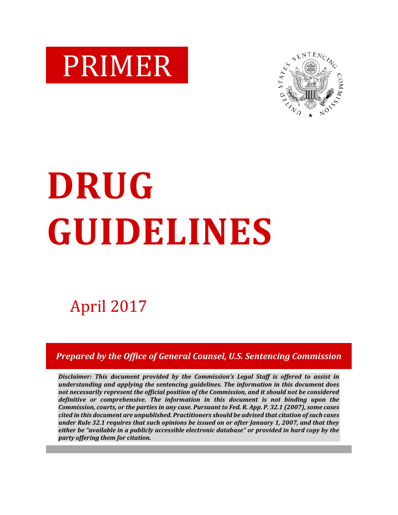



# **DRUG GUIDELINES**

# April 2017

*Prepared by the Office of General Counsel, U.S. Sentencing Commission*

*Disclaimer: This document provided by the Commission's Legal Staff is offered to assist in understanding and applying the sentencing guidelines. The information in this document does not necessarily represent the official position of the Commission, and it should not be considered definitive or comprehensive. The information in this document is not binding upon the Commission, courts, or the parties in any case. Pursuant to Fed. R. App. P. 32.1 (2007), some cases cited in this document are unpublished. Practitioners should be advised that citation of such cases under Rule 32.1 requires that such opinions be issued on or after January 1, 2007, and that they either be "available in a publicly accessible electronic database" or provided in hard copy by the party offering them for citation.*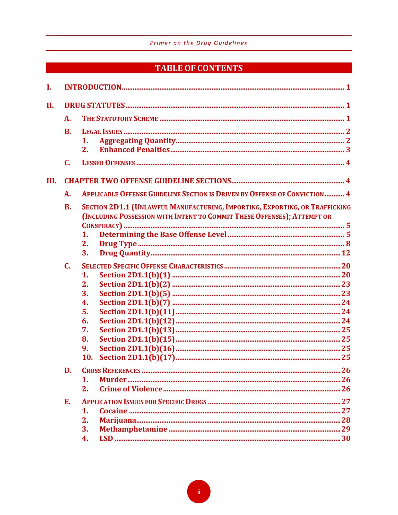# **TABLE OF CONTENTS**

| L    |                |                                                                                                                                                        |  |  |  |
|------|----------------|--------------------------------------------------------------------------------------------------------------------------------------------------------|--|--|--|
| Η.   |                |                                                                                                                                                        |  |  |  |
|      | A.             |                                                                                                                                                        |  |  |  |
|      | <b>B.</b>      |                                                                                                                                                        |  |  |  |
|      |                | 1.                                                                                                                                                     |  |  |  |
|      |                | 2.                                                                                                                                                     |  |  |  |
|      | C.             |                                                                                                                                                        |  |  |  |
| III. |                |                                                                                                                                                        |  |  |  |
|      | A.             | <b>APPLICABLE OFFENSE GUIDELINE SECTION IS DRIVEN BY OFFENSE OF CONVICTION  4</b>                                                                      |  |  |  |
|      | <b>B.</b>      | SECTION 2D1.1 (UNLAWFUL MANUFACTURING, IMPORTING, EXPORTING, OR TRAFFICKING<br>(INCLUDING POSSESSION WITH INTENT TO COMMIT THESE OFFENSES); ATTEMPT OR |  |  |  |
|      |                | 1.                                                                                                                                                     |  |  |  |
|      |                | 2.                                                                                                                                                     |  |  |  |
|      |                | 3.                                                                                                                                                     |  |  |  |
|      | $\mathbf{C}$ . |                                                                                                                                                        |  |  |  |
|      |                | 1.                                                                                                                                                     |  |  |  |
|      |                | 2.                                                                                                                                                     |  |  |  |
|      |                | 3.                                                                                                                                                     |  |  |  |
|      |                | 4.                                                                                                                                                     |  |  |  |
|      |                | 5.                                                                                                                                                     |  |  |  |
|      |                | 6.                                                                                                                                                     |  |  |  |
|      |                | 7.                                                                                                                                                     |  |  |  |
|      |                | 8.                                                                                                                                                     |  |  |  |
|      |                | 9.                                                                                                                                                     |  |  |  |
|      |                | 10.                                                                                                                                                    |  |  |  |
|      | D.             |                                                                                                                                                        |  |  |  |
|      |                | 1.                                                                                                                                                     |  |  |  |
|      |                | 2.                                                                                                                                                     |  |  |  |
|      | Е.             |                                                                                                                                                        |  |  |  |
|      |                | 1.                                                                                                                                                     |  |  |  |
|      |                | 2.                                                                                                                                                     |  |  |  |
|      |                | 3.                                                                                                                                                     |  |  |  |
|      |                | 4.                                                                                                                                                     |  |  |  |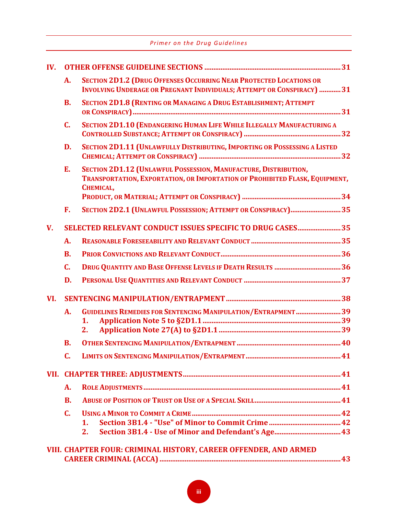| IV.         |              |                                                                                                                                                             |  |  |
|-------------|--------------|-------------------------------------------------------------------------------------------------------------------------------------------------------------|--|--|
|             | A.           | <b>SECTION 2D1.2 (DRUG OFFENSES OCCURRING NEAR PROTECTED LOCATIONS OR</b><br><b>INVOLVING UNDERAGE OR PREGNANT INDIVIDUALS; ATTEMPT OR CONSPIRACY) 31</b>   |  |  |
|             | <b>B.</b>    | <b>SECTION 2D1.8 (RENTING OR MANAGING A DRUG ESTABLISHMENT; ATTEMPT</b>                                                                                     |  |  |
|             | C.           | SECTION 2D1.10 (ENDANGERING HUMAN LIFE WHILE ILLEGALLY MANUFACTURING A                                                                                      |  |  |
|             | D.           | SECTION 2D1.11 (UNLAWFULLY DISTRIBUTING, IMPORTING OR POSSESSING A LISTED                                                                                   |  |  |
|             | E.           | SECTION 2D1.12 (UNLAWFUL POSSESSION, MANUFACTURE, DISTRIBUTION,<br>TRANSPORTATION, EXPORTATION, OR IMPORTATION OF PROHIBITED FLASK, EQUIPMENT,<br>CHEMICAL, |  |  |
|             | F.           | SECTION 2D2.1 (UNLAWFUL POSSESSION; ATTEMPT OR CONSPIRACY)35                                                                                                |  |  |
| $V_{\cdot}$ |              | SELECTED RELEVANT CONDUCT ISSUES SPECIFIC TO DRUG CASES 35                                                                                                  |  |  |
|             | A.           |                                                                                                                                                             |  |  |
|             | <b>B.</b>    |                                                                                                                                                             |  |  |
|             | C.           | <b>DRUG QUANTITY AND BASE OFFENSE LEVELS IF DEATH RESULTS 36</b>                                                                                            |  |  |
|             | D.           |                                                                                                                                                             |  |  |
| VI.         |              |                                                                                                                                                             |  |  |
|             | A.           | GUIDELINES REMEDIES FOR SENTENCING MANIPULATION/ENTRAPMENT39                                                                                                |  |  |
|             |              | 1.                                                                                                                                                          |  |  |
|             |              | 2.                                                                                                                                                          |  |  |
|             | <b>B.</b>    |                                                                                                                                                             |  |  |
|             | C.           |                                                                                                                                                             |  |  |
|             |              |                                                                                                                                                             |  |  |
|             | A.           |                                                                                                                                                             |  |  |
|             | <b>B.</b>    |                                                                                                                                                             |  |  |
|             | $\mathbf{C}$ |                                                                                                                                                             |  |  |
|             |              | 1.                                                                                                                                                          |  |  |
|             |              | 2.                                                                                                                                                          |  |  |
|             |              | VIII. CHAPTER FOUR: CRIMINAL HISTORY, CAREER OFFENDER, AND ARMED                                                                                            |  |  |

|  | , in ginn tent com gin mule incloud, gineen client and engine thuse |
|--|---------------------------------------------------------------------|
|  |                                                                     |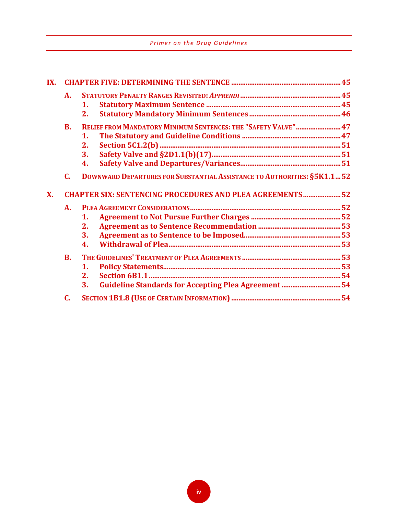|  |  |  | Primer on the Drug Guidelines |
|--|--|--|-------------------------------|
|--|--|--|-------------------------------|

| IX.       |                                                                  |                                                                                |  |  |  |
|-----------|------------------------------------------------------------------|--------------------------------------------------------------------------------|--|--|--|
|           | $\mathbf{A}$ .                                                   |                                                                                |  |  |  |
|           |                                                                  | 1.                                                                             |  |  |  |
|           |                                                                  | 2.                                                                             |  |  |  |
|           | <b>B.</b>                                                        | RELIEF FROM MANDATORY MINIMUM SENTENCES: THE "SAFETY VALVE" 47                 |  |  |  |
|           |                                                                  | $\mathbf 1$ .                                                                  |  |  |  |
|           |                                                                  | 2.                                                                             |  |  |  |
|           |                                                                  | 3.                                                                             |  |  |  |
|           |                                                                  | 4.                                                                             |  |  |  |
|           | C.                                                               | <b>DOWNWARD DEPARTURES FOR SUBSTANTIAL ASSISTANCE TO AUTHORITIES: §5K1.152</b> |  |  |  |
| <b>X.</b> | <b>CHAPTER SIX: SENTENCING PROCEDURES AND PLEA AGREEMENTS 52</b> |                                                                                |  |  |  |
|           | A.                                                               |                                                                                |  |  |  |
|           |                                                                  | 1.                                                                             |  |  |  |
|           |                                                                  | 2.                                                                             |  |  |  |
|           |                                                                  | 3.                                                                             |  |  |  |
|           |                                                                  | 4.                                                                             |  |  |  |
|           | $\mathbf{B}$ .                                                   |                                                                                |  |  |  |
|           |                                                                  | $\mathbf{1}$ .                                                                 |  |  |  |
|           |                                                                  | 2.                                                                             |  |  |  |
|           |                                                                  | Guideline Standards for Accepting Plea Agreement 54<br>3.                      |  |  |  |
|           | C.                                                               |                                                                                |  |  |  |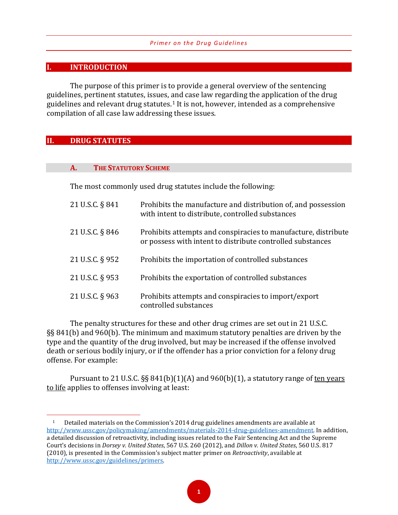#### **I. INTRODUCTION**

The purpose of this primer is to provide a general overview of the sentencing guidelines, pertinent statutes, issues, [an](#page-4-0)d case law regarding the application of the drug guidelines and relevant drug statutes.1 It is not, however, intended as a comprehensive compilation of all case law addressing these issues.

#### **II. DRUG STATUTES**

 $\overline{a}$ 

#### **A. THE STATUTORY SCHEME**

The most commonly used drug statutes include the following:

| 21 U.S.C. § 841 | Prohibits the manufacture and distribution of, and possession<br>with intent to distribute, controlled substances            |
|-----------------|------------------------------------------------------------------------------------------------------------------------------|
| 21 U.S.C. § 846 | Prohibits attempts and conspiracies to manufacture, distribute<br>or possess with intent to distribute controlled substances |
| 21 U.S.C. § 952 | Prohibits the importation of controlled substances                                                                           |
| 21 U.S.C. § 953 | Prohibits the exportation of controlled substances                                                                           |
| 21 U.S.C. § 963 | Prohibits attempts and conspiracies to import/export<br>controlled substances                                                |

The penalty structures for these and other drug crimes are set out in 21 U.S.C. §§ 841(b) and 960(b). The minimum and maximum statutory penalties are driven by the type and the quantity of the drug involved, but may be increased if the offense involved death or serious bodily injury, or if the offender has a prior conviction for a felony drug offense. For example:

Pursuant to 21 U.S.C.  $\S$ § 841(b)(1)(A) and 960(b)(1), a statutory range of ten years to life applies to offenses involving at least:

<span id="page-4-0"></span><sup>1</sup> Detailed materials on the Commission's 2014 drug guidelines amendments are available at [http://www.ussc.gov/policymaking/amendments/materials-2014-drug-guidelines-amendment.](http://www.ussc.gov/policymaking/amendments/materials-2014-drug-guidelines-amendment) In addition, a detailed discussion of retroactivity, including issues related to the Fair Sentencing Act and the Supreme Court's decisions in *Dorsey v. United States*, 567 U.S. 260 (2012), and *Dillon v. United States*, 560 U.S. 817 (2010), is presented in the Commission's subject matter primer on *Retroactivity*, available at [http://www.ussc.gov/guidelines/primers.](http://www.ussc.gov/guidelines/primers)

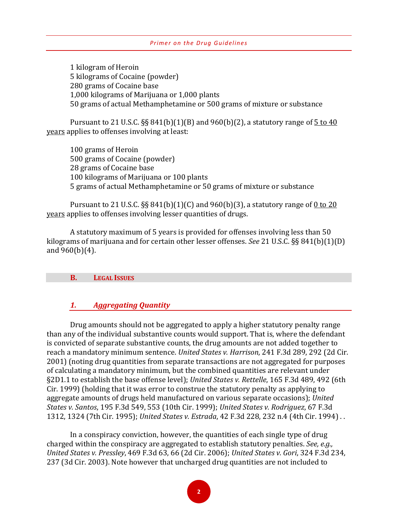1 kilogram of Heroin 5 kilograms of Cocaine (powder) 280 grams of Cocaine base 1,000 kilograms of Marijuana or 1,000 plants 50 grams of actual Methamphetamine or 500 grams of mixture or substance

Pursuant to 21 U.S.C. §§ 841(b)(1)(B) and 960(b)(2), a statutory range of  $\frac{5 \text{ to } 40}{5 \text{ to } 40}$ years applies to offenses involving at least:

100 grams of Heroin 500 grams of Cocaine (powder) 28 grams of Cocaine base 100 kilograms of Marijuana or 100 plants 5 grams of actual Methamphetamine or 50 grams of mixture or substance

Pursuant to 21 U.S.C.  $\S$ § 841(b)(1)(C) and 960(b)(3), a statutory range of 0 to 20 years applies to offenses involving lesser quantities of drugs.

A statutory maximum of 5 years is provided for offenses involving less than 50 kilograms of marijuana and for certain other lesser offenses. *See* 21 U.S.C. §§ 841(b)(1)(D) and 960(b)(4).

#### **B. LEGAL ISSUES**

#### *1. Aggregating Quantity*

Drug amounts should not be aggregated to apply a higher statutory penalty range than any of the individual substantive counts would support. That is, where the defendant is convicted of separate substantive counts, the drug amounts are not added together to reach a mandatory minimum sentence. *United States v. Harrison*, 241 F.3d 289, 292 (2d Cir. 2001) (noting drug quantities from separate transactions are not aggregated for purposes of calculating a mandatory minimum, but the combined quantities are relevant under §2D1.1 to establish the base offense level); *United States v. Rettelle*, 165 F.3d 489, 492 (6th Cir. 1999) (holding that it was error to construe the statutory penalty as applying to aggregate amounts of drugs held manufactured on various separate occasions); *United States v. Santos*, 195 F.3d 549, 553 (10th Cir. 1999); *United States v. Rodriguez*, 67 F.3d 1312, 1324 (7th Cir. 1995); *United States v. Estrada*, 42 F.3d 228, 232 n.4 (4th Cir. 1994) . .

In a conspiracy conviction, however, the quantities of each single type of drug charged within the conspiracy are aggregated to establish statutory penalties. *See, e.g., United States v. Pressley*, 469 F.3d 63, 66 (2d Cir. 2006); *United States v. Gori*, 324 F.3d 234, 237 (3d Cir. 2003). Note however that uncharged drug quantities are not included to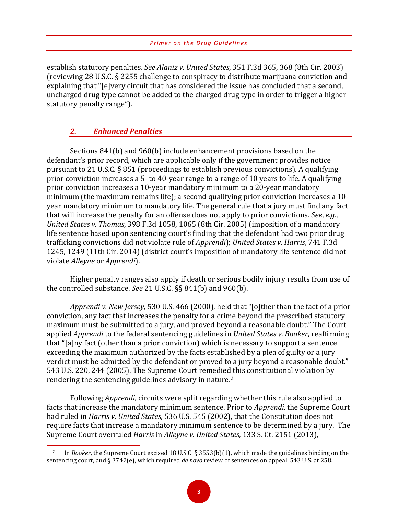establish statutory penalties. *See Alaniz v. United States*, 351 F.3d 365, 368 (8th Cir. 2003) (reviewing 28 U.S.C. § 2255 challenge to conspiracy to distribute marijuana conviction and explaining that "[e]very circuit that has considered the issue has concluded that a second, uncharged drug type cannot be added to the charged drug type in order to trigger a higher statutory penalty range").

#### *2. Enhanced Penalties*

 $\overline{a}$ 

Sections 841(b) and 960(b) include enhancement provisions based on the defendant's prior record, which are applicable only if the government provides notice pursuant to 21 U.S.C. § 851 (proceedings to establish previous convictions). A qualifying prior conviction increases a 5- to 40-year range to a range of 10 years to life. A qualifying prior conviction increases a 10-year mandatory minimum to a 20-year mandatory minimum (the maximum remains life); a second qualifying prior conviction increases a 10 year mandatory minimum to mandatory life. The general rule that a jury must find any fact that will increase the penalty for an offense does not apply to prior convictions. *See*, *e.g.*, *United States v. Thomas*, 398 F.3d 1058, 1065 (8th Cir. 2005) (imposition of a mandatory life sentence based upon sentencing court's finding that the defendant had two prior drug trafficking convictions did not violate rule of *Apprendi*); *United States v. Harris*, 741 F.3d 1245, 1249 (11th Cir. 2014) (district court's imposition of mandatory life sentence did not violate *Alleyne* or *Apprendi*).

Higher penalty ranges also apply if death or serious bodily injury results from use of the controlled substance. *See* 21 U.S.C. §§ 841(b) and 960(b).

*Apprendi v. New Jersey*, 530 U.S. 466 (2000), held that "[o]ther than the fact of a prior conviction, any fact that increases the penalty for a crime beyond the prescribed statutory maximum must be submitted to a jury, and proved beyond a reasonable doubt." The Court applied *Apprendi* to the federal sentencing guidelines in *United States v. Booker*, reaffirming that "[a]ny fact (other than a prior conviction) which is necessary to support a sentence exceeding the maximum authorized by the facts established by a plea of guilty or a jury verdict must be admitted by the defendant or proved to a jury beyond a reasonable doubt." 543 U.S. 220, 244 (2005). The Supreme Court remedie[d t](#page-6-0)his constitutional violation by rendering the sentencing guidelines advisory in nature.2

Following *Apprendi*, circuits were split regarding whether this rule also applied to facts that increase the mandatory minimum sentence. Prior to *Apprendi*, the Supreme Court had ruled in *Harris v. United States*, 536 U.S. 545 (2002), that the Constitution does not require facts that increase a mandatory minimum sentence to be determined by a jury. The Supreme Court overruled *Harris* in *Alleyne v. United States*, 133 S. Ct. 2151 (2013),

<span id="page-6-0"></span><sup>2</sup> In *Booker*, the Supreme Court excised 18 U.S.C. § 3553(b)(1), which made the guidelines binding on the sentencing court, and § 3742(e), which required *de novo* review of sentences on appeal. 543 U.S. at 258.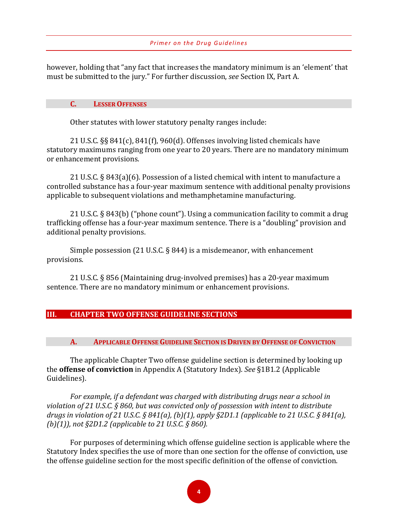however, holding that "any fact that increases the mandatory minimum is an 'element' that must be submitted to the jury." For further discussion, *see* Section IX, Part A.

#### **C. LESSER OFFENSES**

Other statutes with lower statutory penalty ranges include:

21 U.S.C. §§ 841(c), 841(f), 960(d). Offenses involving listed chemicals have statutory maximums ranging from one year to 20 years. There are no mandatory minimum or enhancement provisions.

21 U.S.C. § 843(a)(6). Possession of a listed chemical with intent to manufacture a controlled substance has a four-year maximum sentence with additional penalty provisions applicable to subsequent violations and methamphetamine manufacturing.

21 U.S.C. § 843(b) ("phone count"). Using a communication facility to commit a drug trafficking offense has a four-year maximum sentence. There is a "doubling" provision and additional penalty provisions.

Simple possession (21 U.S.C. § 844) is a misdemeanor, with enhancement provisions.

21 U.S.C. § 856 (Maintaining drug-involved premises) has a 20-year maximum sentence. There are no mandatory minimum or enhancement provisions.

#### **III. CHAPTER TWO OFFENSE GUIDELINE SECTIONS**

**A. APPLICABLE OFFENSE GUIDELINE SECTION IS DRIVEN BY OFFENSE OF CONVICTION** 

The applicable Chapter Two offense guideline section is determined by looking up the **offense of conviction** in Appendix A (Statutory Index). *See* §1B1.2 (Applicable Guidelines).

*For example, if a defendant was charged with distributing drugs near a school in violation of 21 U.S.C. § 860, but was convicted only of possession with intent to distribute drugs in violation of 21 U.S.C. § 841(a), (b)(1), apply §2D1.1 (applicable to 21 U.S.C. § 841(a), (b)(1)), not §2D1.2 (applicable to 21 U.S.C. § 860).* 

For purposes of determining which offense guideline section is applicable where the Statutory Index specifies the use of more than one section for the offense of conviction, use the offense guideline section for the most specific definition of the offense of conviction.

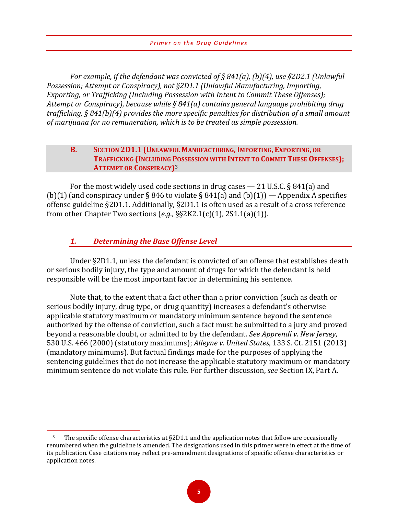*For example, if the defendant was convicted of § 841(a), (b)(4), use §2D2.1 (Unlawful Possession; Attempt or Conspiracy), not §2D1.1 (Unlawful Manufacturing, Importing, Exporting, or Trafficking (Including Possession with Intent to Commit These Offenses); Attempt or Conspiracy), because while § 841(a) contains general language prohibiting drug trafficking, § 841(b)(4) provides the more specific penalties for distribution of a small amount of marijuana for no remuneration, which is to be treated as simple possession.*

#### **B. SECTION 2D1.1 (UNLAWFUL MANUFACTURING, IMPORTING, EXPORTING, OR TRAFFICKING (INCLUDING [PO](#page-8-0)SSESSION WITH INTENT TO COMMIT THESE OFFENSES); ATTEMPT OR CONSPIRACY)**<sup>3</sup>

For the most widely used code sections in drug cases — 21 U.S.C. § 841(a) and (b)(1) (and conspiracy under § 846 to violate § 841(a) and (b)(1)) — Appendix A specifies offense guideline §2D1.1. Additionally, §2D1.1 is often used as a result of a cross reference from other Chapter Two sections (*e.g.*, §§2K2.1(c)(1), 2S1.1(a)(1)).

#### *1. Determining the Base Offense Level*

 $\overline{a}$ 

Under §2D1.1, unless the defendant is convicted of an offense that establishes death or serious bodily injury, the type and amount of drugs for which the defendant is held responsible will be the most important factor in determining his sentence.

Note that, to the extent that a fact other than a prior conviction (such as death or serious bodily injury, drug type, or drug quantity) increases a defendant's otherwise applicable statutory maximum or mandatory minimum sentence beyond the sentence authorized by the offense of conviction, such a fact must be submitted to a jury and proved beyond a reasonable doubt, or admitted to by the defendant. *See Apprendi v. New Jersey*, 530 U.S. 466 (2000) (statutory maximums); *Alleyne v. United States*, 133 S. Ct. 2151 (2013) (mandatory minimums). But factual findings made for the purposes of applying the sentencing guidelines that do not increase the applicable statutory maximum or mandatory minimum sentence do not violate this rule. For further discussion, *see* Section IX, Part A.

<span id="page-8-0"></span> $3$  The specific offense characteristics at §2D1.1 and the application notes that follow are occasionally renumbered when the guideline is amended. The designations used in this primer were in effect at the time of its publication. Case citations may reflect pre-amendment designations of specific offense characteristics or application notes.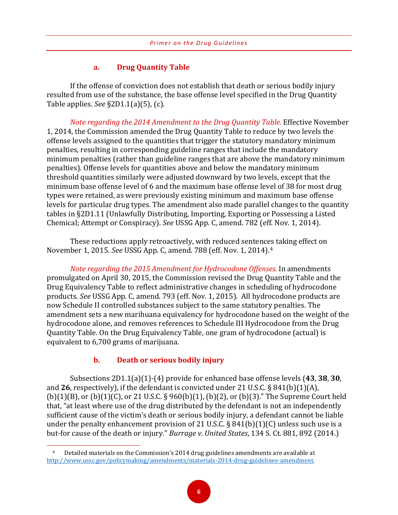#### **a. Drug Quantity Table**

If the offense of conviction does not establish that death or serious bodily injury resulted from use of the substance, the base offense level specified in the Drug Quantity Table applies. *See* §2D1.1(a)(5), (c).

*Note regarding the 2014 Amendment to the Drug Quantity Table.* Effective November 1, 2014, the Commission amended the Drug Quantity Table to reduce by two levels the offense levels assigned to the quantities that trigger the statutory mandatory minimum penalties, resulting in corresponding guideline ranges that include the mandatory minimum penalties (rather than guideline ranges that are above the mandatory minimum penalties). Offense levels for quantities above and below the mandatory minimum threshold quantities similarly were adjusted downward by two levels, except that the minimum base offense level of 6 and the maximum base offense level of 38 for most drug types were retained, as were previously existing minimum and maximum base offense levels for particular drug types. The amendment also made parallel changes to the quantity tables in §2D1.11 (Unlawfully Distributing, Importing, Exporting or Possessing a Listed Chemical; Attempt or Conspiracy). *See* USSG App. C, amend. 782 (eff. Nov. 1, 2014).

These reductions apply retroactively, with reduced sentences taking effect on November 1, 2015. *See* USSG App. C, amend. 788 (eff. Nov. 1, 2014).[4](#page-9-0)

*Note regarding the 2015 Amendment for Hydrocodone Offenses.* In amendments promulgated on April 30, 2015, the Commission revised the Drug Quantity Table and the Drug Equivalency Table to reflect administrative changes in scheduling of hydrocodone products. *See* USSG App. C, amend. 793 (eff. Nov. 1, 2015). All hydrocodone products are now Schedule II controlled substances subject to the same statutory penalties. The amendment sets a new marihuana equivalency for hydrocodone based on the weight of the hydrocodone alone, and removes references to Schedule III Hydrocodone from the Drug Quantity Table. On the Drug Equivalency Table, one gram of hydrocodone (actual) is equivalent to 6,700 grams of marijuana.

#### **b. Death or serious bodily injury**

 $\overline{a}$ 

Subsections 2D1.1(a)(1)-(4) provide for enhanced base offense levels (**43**, **38**, **30**, and **26**, respectively), if the defendant is convicted under 21 U.S.C. § 841(b)(1)(A), (b)(1)(B), or (b)(1)(C), or 21 U.S.C. § 960(b)(1), (b)(2), or (b)(3)." The Supreme Court held that, "at least where use of the drug distributed by the defendant is not an independently sufficient cause of the victim's death or serious bodily injury, a defendant cannot be liable under the penalty enhancement provision of 21 U.S.C.  $\S$  841(b)(1)(C) unless such use is a but-for cause of the death or injury." *Burrage v. United States*, 134 S. Ct. 881, 892 (2014.)

<span id="page-9-0"></span><sup>4</sup> Detailed materials on the Commission's 2014 drug guidelines amendments are available at [http://www.ussc.gov/policymaking/amendments/materials-2014-drug-guidelines-amendment.](http://www.ussc.gov/policymaking/amendments/materials-2014-drug-guidelines-amendment)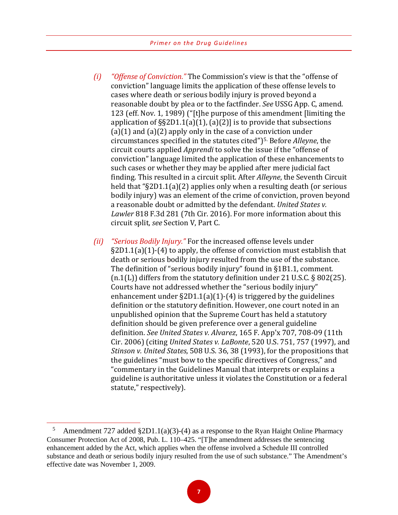- *(i) "Offense of Conviction."* The Commission's view is that the "offense of conviction" language limits the application of these offense levels to cases where death or serious bodily injury is proved beyond a reasonable doubt by plea or to the factfinder. *See* USSG App. C, amend. 123 (eff. Nov. 1, 1989) ("[t]he purpose of this amendment [limiting the application of  $\S$  $\S$ 2D1.1(a)(1), (a)(2)] is to provide that subsections  $(a)(1)$  and  $(a)(2)$  apply only in the case of a conviction under circumstances specified in the statutes cited")[5](#page-10-0). Before *Alleyne*, the circuit courts applied *Apprendi* to solve the issue if the "offense of conviction" language limited the application of these enhancements to such cases or whether they may be applied after mere judicial fact finding. This resulted in a circuit split. After *Alleyne*, the Seventh Circuit held that "§2D1.1(a)(2) applies only when a resulting death (or serious bodily injury) was an element of the crime of conviction, proven beyond a reasonable doubt or admitted by the defendant. *United States v. Lawler* 818 F.3d 281 (7th Cir. 2016). For more information about this circuit split, *see* Section V, Part C.
- *(ii) "Serious Bodily Injury."* For the increased offense levels under §2D1.1(a)(1)-(4) to apply, the offense of conviction must establish that death or serious bodily injury resulted from the use of the substance. The definition of "serious bodily injury" found in §1B1.1, comment. (n.1(L)) differs from the statutory definition under 21 U.S.C. § 802(25). Courts have not addressed whether the "serious bodily injury" enhancement under  $\S2D1.1(a)(1)-(4)$  is triggered by the guidelines definition or the statutory definition. However, one court noted in an unpublished opinion that the Supreme Court has held a statutory definition should be given preference over a general guideline definition. *See United States v. Alvarez*, 165 F. App'x 707, 708-09 (11th Cir. 2006) (citing *United States v. LaBonte*, 520 U.S. 751, 757 (1997), and *Stinson v. United States*, 508 U.S. 36, 38 (1993), for the propositions that the guidelines "must bow to the specific directives of Congress," and "commentary in the Guidelines Manual that interprets or explains a guideline is authoritative unless it violates the Constitution or a federal statute," respectively).

 $\overline{a}$ 



<span id="page-10-0"></span><sup>&</sup>lt;sup>5</sup> Amendment 727 added §2D1.1(a)(3)-(4) as a response to the Ryan Haight Online Pharmacy Consumer Protection Act of 2008, Pub. L. 110–425. "[T]he amendment addresses the sentencing enhancement added by the Act, which applies when the offense involved a Schedule III controlled substance and death or serious bodily injury resulted from the use of such substance." The Amendment's effective date was November 1, 2009.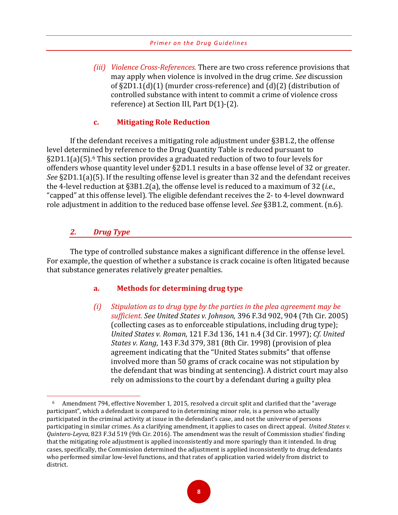*(iii) Violence Cross-References.* There are two cross reference provisions that may apply when violence is involved in the drug crime. *See* discussion of §2D1.1(d)(1) (murder cross-reference) and (d)(2) (distribution of controlled substance with intent to commit a crime of violence cross reference) at Section III, Part D(1)-(2).

#### **c. Mitigating Role Reduction**

If the defendant receives a mitigating role adjustment under §3B1.2, the offense level determi[ne](#page-11-0)d by reference to the Drug Quantity Table is reduced pursuant to §2D1.1(a)(5).6 This section provides a graduated reduction of two to four levels for offenders whose quantity level under §2D1.1 results in a base offense level of 32 or greater. *See* §2D1.1(a)(5). If the resulting offense level is greater than 32 and the defendant receives the 4-level reduction at §3B1.2(a), the offense level is reduced to a maximum of 32 (*i.e.*, "capped" at this offense level). The eligible defendant receives the 2- to 4-level downward role adjustment in addition to the reduced base offense level. *See* §3B1.2, comment. (n.6).

# *2. Drug Type*

 $\overline{a}$ 

The type of controlled substance makes a significant difference in the offense level. For example, the question of whether a substance is crack cocaine is often litigated because that substance generates relatively greater penalties.

#### **a. Methods for determining drug type**

*(i) Stipulation as to drug type by the parties in the plea agreement may be sufficient. See United States v. Johnson,* 396 F.3d 902, 904 (7th Cir. 2005) (collecting cases as to enforceable stipulations, including drug type); *United States v. Roman*, 121 F.3d 136, 141 n.4 (3d Cir. 1997); *Cf. United States v. Kang*, 143 F.3d 379, 381 (8th Cir. 1998) (provision of plea agreement indicating that the "United States submits" that offense involved more than 50 grams of crack cocaine was not stipulation by the defendant that was binding at sentencing). A district court may also rely on admissions to the court by a defendant during a guilty plea

<span id="page-11-0"></span><sup>6</sup> Amendment 794, effective November 1, 2015, resolved a circuit split and clarified that the "average participant", which a defendant is compared to in determining minor role, is a person who actually participated in the criminal activity at issue in the defendant's case, and not the universe of persons participating in similar crimes. As a clarifying amendment, it applies to cases on direct appeal. *United States v. Quintero-Leyva*, 823 F.3d 519 (9th Cir. 2016). The amendment was the result of Commission studies' finding that the mitigating role adjustment is applied inconsistently and more sparingly than it intended. In drug cases, specifically, the Commission determined the adjustment is applied inconsistently to drug defendants who performed similar low-level functions, and that rates of application varied widely from district to district.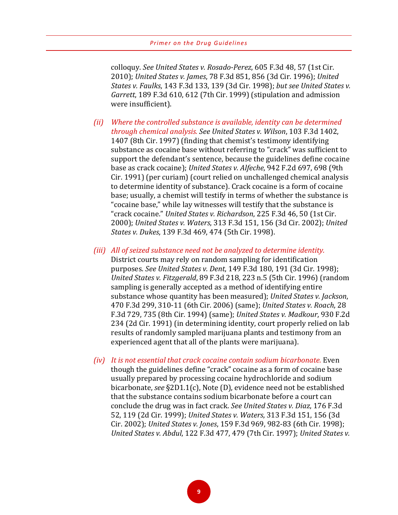colloquy. *See United States v. Rosado-Perez*, 605 F.3d 48, 57 (1st Cir. 2010); *United States v. James*, 78 F.3d 851, 856 (3d Cir. 1996); *United States v. Faulks*, 143 F.3d 133, 139 (3d Cir. 1998); *but see United States v. Garrett*, 189 F.3d 610, 612 (7th Cir. 1999) (stipulation and admission were insufficient).

- *(ii) Where the controlled substance is available, identity can be determined through chemical analysis. See United States v. Wilson*, 103 F.3d 1402, 1407 (8th Cir. 1997) (finding that chemist's testimony identifying substance as cocaine base without referring to "crack" was sufficient to support the defendant's sentence, because the guidelines define cocaine base as crack cocaine); *United States v. Alfeche*, 942 F.2d 697, 698 (9th Cir. 1991) (per curiam) (court relied on unchallenged chemical analysis to determine identity of substance). Crack cocaine is a form of cocaine base; usually, a chemist will testify in terms of whether the substance is "cocaine base," while lay witnesses will testify that the substance is "crack cocaine." *United States v. Richardson*, 225 F.3d 46, 50 (1st Cir. 2000); *United States v. Waters*, 313 F.3d 151, 156 (3d Cir. 2002); *United States v. Dukes*, 139 F.3d 469, 474 (5th Cir. 1998).
- *(iii) All of seized substance need not be analyzed to determine identity.* District courts may rely on random sampling for identification purposes. *See United States v. Dent*, 149 F.3d 180, 191 (3d Cir. 1998); *United States v. Fitzgerald*, 89 F.3d 218, 223 n.5 (5th Cir. 1996) (random sampling is generally accepted as a method of identifying entire substance whose quantity has been measured); *United States v. Jackson*, 470 F.3d 299, 310-11 (6th Cir. 2006) (same); *United States v. Roach*, 28 F.3d 729, 735 (8th Cir. 1994) (same); *United States v. Madkour*, 930 F.2d 234 (2d Cir. 1991) (in determining identity, court properly relied on lab results of randomly sampled marijuana plants and testimony from an experienced agent that all of the plants were marijuana).
- *(iv) It is not essential that crack cocaine contain sodium bicarbonate.* Even though the guidelines define "crack" cocaine as a form of cocaine base usually prepared by processing cocaine hydrochloride and sodium bicarbonate, *see* §2D1.1(c), Note (D), evidence need not be established that the substance contains sodium bicarbonate before a court can conclude the drug was in fact crack. *See United States v. Diaz*, 176 F.3d 52, 119 (2d Cir. 1999); *United States v. Waters*, 313 F.3d 151, 156 (3d Cir. 2002); *United States v. Jones*, 159 F.3d 969, 982-83 (6th Cir. 1998); *United States v. Abdul*, 122 F.3d 477, 479 (7th Cir. 1997); *United States v.*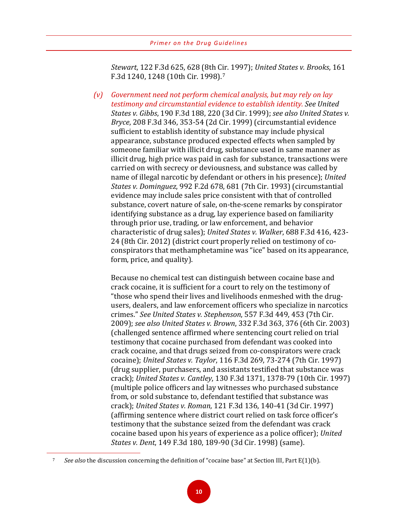*Stewart*, 122 F.3d 625, 628 (8th Cir. 1997); *United States v. Brooks*, 161 F.3d 1240, 1248 (10th Cir. 1998).[7](#page-13-0)

*(v) Government need not perform chemical analysis, but may rely on lay testimony and circumstantial evidence to establish identity. See United States v. Gibbs*, 190 F.3d 188, 220 (3d Cir. 1999); *see also United States v. Bryce*, 208 F.3d 346, 353-54 (2d Cir. 1999) (circumstantial evidence sufficient to establish identity of substance may include physical appearance, substance produced expected effects when sampled by someone familiar with illicit drug, substance used in same manner as illicit drug, high price was paid in cash for substance, transactions were carried on with secrecy or deviousness, and substance was called by name of illegal narcotic by defendant or others in his presence); *United States v. Dominguez*, 992 F.2d 678, 681 (7th Cir. 1993) (circumstantial evidence may include sales price consistent with that of controlled substance, covert nature of sale, on-the-scene remarks by conspirator identifying substance as a drug, lay experience based on familiarity through prior use, trading, or law enforcement, and behavior characteristic of drug sales); *United States v. Walker*, 688 F.3d 416, 423- 24 (8th Cir. 2012) (district court properly relied on testimony of coconspirators that methamphetamine was "ice" based on its appearance, form, price, and quality).

Because no chemical test can distinguish between cocaine base and crack cocaine, it is sufficient for a court to rely on the testimony of "those who spend their lives and livelihoods enmeshed with the drugusers, dealers, and law enforcement officers who specialize in narcotics crimes." *See United States v. Stephenson*, 557 F.3d 449, 453 (7th Cir. 2009); *see also United States v. Brown*, 332 F.3d 363, 376 (6th Cir. 2003) (challenged sentence affirmed where sentencing court relied on trial testimony that cocaine purchased from defendant was cooked into crack cocaine, and that drugs seized from co-conspirators were crack cocaine); *United States v. Taylor*, 116 F.3d 269, 73-274 (7th Cir. 1997) (drug supplier, purchasers, and assistants testified that substance was crack); *United States v. Cantley*, 130 F.3d 1371, 1378-79 (10th Cir. 1997) (multiple police officers and lay witnesses who purchased substance from, or sold substance to, defendant testified that substance was crack); *United States v. Roman*, 121 F.3d 136, 140-41 (3d Cir. 1997) (affirming sentence where district court relied on task force officer's testimony that the substance seized from the defendant was crack cocaine based upon his years of experience as a police officer); *United States v. Dent*, 149 F.3d 180, 189-90 (3d Cir. 1998) (same).

<span id="page-13-0"></span> $\overline{a}$ 

<sup>7</sup> *See also* the discussion concerning the definition of "cocaine base" at Section III, Part E(1)(b).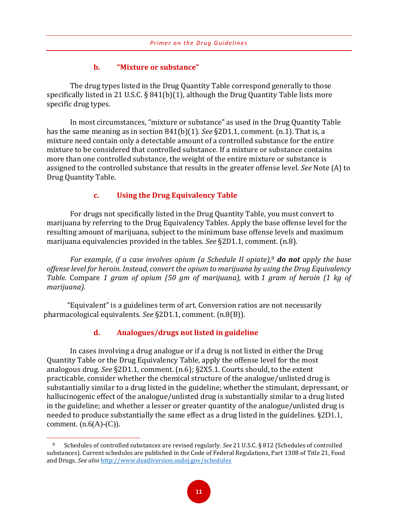# **b. "Mixture or substance"**

The drug types listed in the Drug Quantity Table correspond generally to those specifically listed in 21 U.S.C. § 841(b)(1), although the Drug Quantity Table lists more specific drug types.

In most circumstances, "mixture or substance" as used in the Drug Quantity Table has the same meaning as in section 841(b)(1). *See* §2D1.1, comment. (n.1). That is, a mixture need contain only a detectable amount of a controlled substance for the entire mixture to be considered that controlled substance. If a mixture or substance contains more than one controlled substance, the weight of the entire mixture or substance is assigned to the controlled substance that results in the greater offense level. *See* Note (A) to Drug Quantity Table.

# **c. Using the Drug Equivalency Table**

For drugs not specifically listed in the Drug Quantity Table, you must convert to marijuana by referring to the Drug Equivalency Tables. Apply the base offense level for the resulting amount of marijuana, subject to the minimum base offense levels and maximum marijuana equivalencies provided in the tables. *See* §2D1.1, comment. (n.8).

*For example*, *if a case involves opium (a Schedule II opiate),*<sup>8</sup> *do not apply the base offense level for heroin. Instead, convert the opium to marijuana by us[in](#page-14-0)g the Drug Equivalency Table.* Compare *1 gram of opium (50 gm of marijuana),* with *1 gram of heroin (1 kg of marijuana).* 

"Equivalent" is a guidelines term of art. Conversion ratios are not necessarily pharmacological equivalents. *See* §2D1.1, comment. (n.8(B)).

# **d. Analogues/drugs not listed in guideline**

 $\overline{a}$ 

In cases involving a drug analogue or if a drug is not listed in either the Drug Quantity Table or the Drug Equivalency Table, apply the offense level for the most analogous drug. *See* §2D1.1, comment. (n.6); §2X5.1. Courts should, to the extent practicable, consider whether the chemical structure of the analogue/unlisted drug is substantially similar to a drug listed in the guideline; whether the stimulant, depressant, or hallucinogenic effect of the analogue/unlisted drug is substantially similar to a drug listed in the guideline; and whether a lesser or greater quantity of the analogue/unlisted drug is needed to produce substantially the same effect as a drug listed in the guidelines. §2D1.1, comment.  $(n.6(A)-(C))$ .

<span id="page-14-0"></span><sup>8</sup> Schedules of controlled substances are revised regularly. *See* 21 U.S.C. § 812 (Schedules of controlled substances). Current schedules are published in the Code of Federal Regulations, Part 1308 of Title 21, Food and Drugs. *See also* <http://www.deadiversion.usdoj.gov/schedules>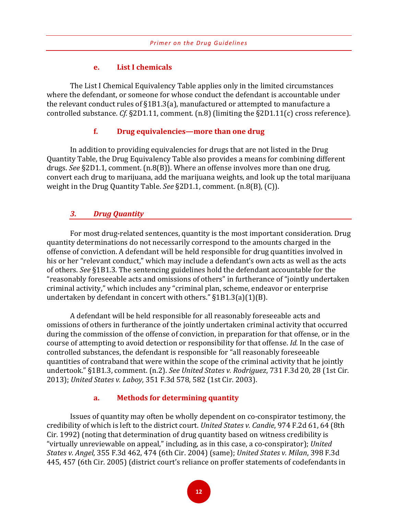#### **e. List I chemicals**

The List I Chemical Equivalency Table applies only in the limited circumstances where the defendant, or someone for whose conduct the defendant is accountable under the relevant conduct rules of §1B1.3(a), manufactured or attempted to manufacture a controlled substance. *Cf.* §2D1.11, comment. (n.8) (limiting the §2D1.11(c) cross reference).

#### **f. Drug equivalencies—more than one drug**

In addition to providing equivalencies for drugs that are not listed in the Drug Quantity Table, the Drug Equivalency Table also provides a means for combining different drugs. *See* §2D1.1, comment. (n.8(B)). Where an offense involves more than one drug, convert each drug to marijuana, add the marijuana weights, and look up the total marijuana weight in the Drug Quantity Table. *See* §2D1.1, comment. (n.8(B), (C)).

# *3. Drug Quantity*

For most drug-related sentences, quantity is the most important consideration. Drug quantity determinations do not necessarily correspond to the amounts charged in the offense of conviction. A defendant will be held responsible for drug quantities involved in his or her "relevant conduct," which may include a defendant's own acts as well as the acts of others. *See* §1B1.3. The sentencing guidelines hold the defendant accountable for the "reasonably foreseeable acts and omissions of others" in furtherance of "jointly undertaken criminal activity," which includes any "criminal plan, scheme, endeavor or enterprise undertaken by defendant in concert with others." §1B1.3(a)(1)(B).

A defendant will be held responsible for all reasonably foreseeable acts and omissions of others in furtherance of the jointly undertaken criminal activity that occurred during the commission of the offense of conviction, in preparation for that offense, or in the course of attempting to avoid detection or responsibility for that offense. *Id.* In the case of controlled substances, the defendant is responsible for "all reasonably foreseeable quantities of contraband that were within the scope of the criminal activity that he jointly undertook." §1B1.3, comment. (n.2). *See United States v. Rodriguez*, 731 F.3d 20, 28 (1st Cir. 2013); *United States v. Laboy*, 351 F.3d 578, 582 (1st Cir. 2003).

#### **a. Methods for determining quantity**

Issues of quantity may often be wholly dependent on co-conspirator testimony, the credibility of which is left to the district court. *United States v. Candie*, 974 F.2d 61, 64 (8th Cir. 1992) (noting that determination of drug quantity based on witness credibility is "virtually unreviewable on appeal," including, as in this case, a co-conspirator); *United States v. Angel*, 355 F.3d 462, 474 (6th Cir. 2004) (same); *United States v. Milan*, 398 F.3d 445, 457 (6th Cir. 2005) (district court's reliance on proffer statements of codefendants in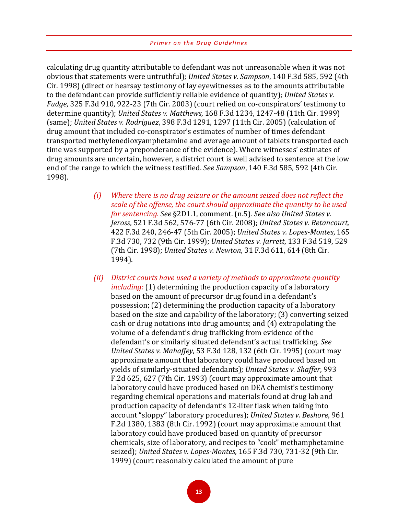calculating drug quantity attributable to defendant was not unreasonable when it was not obvious that statements were untruthful); *United States v. Sampson*, 140 F.3d 585, 592 (4th Cir. 1998) (direct or hearsay testimony of lay eyewitnesses as to the amounts attributable to the defendant can provide sufficiently reliable evidence of quantity); *United States v. Fudge*, 325 F.3d 910, 922-23 (7th Cir. 2003) (court relied on co-conspirators' testimony to determine quantity); *United States v. Matthews*, 168 F.3d 1234, 1247-48 (11th Cir. 1999) (same); *United States v. Rodriguez*, 398 F.3d 1291, 1297 (11th Cir. 2005) (calculation of drug amount that included co-conspirator's estimates of number of times defendant transported methylenedioxyamphetamine and average amount of tablets transported each time was supported by a preponderance of the evidence). Where witnesses' estimates of drug amounts are uncertain, however, a district court is well advised to sentence at the low end of the range to which the witness testified. *See Sampson*, 140 F.3d 585, 592 (4th Cir. 1998).

- *(i) Where there is no drug seizure or the amount seized does not reflect the scale of the offense, the court should approximate the quantity to be used for sentencing. See* §2D1.1, comment. (n.5). *See also United States v. Jeross*, 521 F.3d 562, 576-77 (6th Cir. 2008); *United States v. Betancourt,* 422 F.3d 240, 246-47 (5th Cir. 2005); *United States v. Lopes-Montes*, 165 F.3d 730, 732 (9th Cir. 1999); *United States v. Jarrett*, 133 F.3d 519, 529 (7th Cir. 1998); *United States v. Newton*, 31 F.3d 611, 614 (8th Cir. 1994).
- *(ii) District courts have used a variety of methods to approximate quantity including:* (1) determining the production capacity of a laboratory based on the amount of precursor drug found in a defendant's possession; (2) determining the production capacity of a laboratory based on the size and capability of the laboratory; (3) converting seized cash or drug notations into drug amounts; and (4) extrapolating the volume of a defendant's drug trafficking from evidence of the defendant's or similarly situated defendant's actual trafficking. *See United States v. Mahaffey*, 53 F.3d 128, 132 (6th Cir. 1995) (court may approximate amount that laboratory could have produced based on yields of similarly-situated defendants); *United States v. Shaffer*, 993 F.2d 625, 627 (7th Cir. 1993) (court may approximate amount that laboratory could have produced based on DEA chemist's testimony regarding chemical operations and materials found at drug lab and production capacity of defendant's 12-liter flask when taking into account "sloppy" laboratory procedures); *United States v. Beshore*, 961 F.2d 1380, 1383 (8th Cir. 1992) (court may approximate amount that laboratory could have produced based on quantity of precursor chemicals, size of laboratory, and recipes to "cook" methamphetamine seized); *United States v. Lopes-Montes*, 165 F.3d 730, 731-32 (9th Cir. 1999) (court reasonably calculated the amount of pure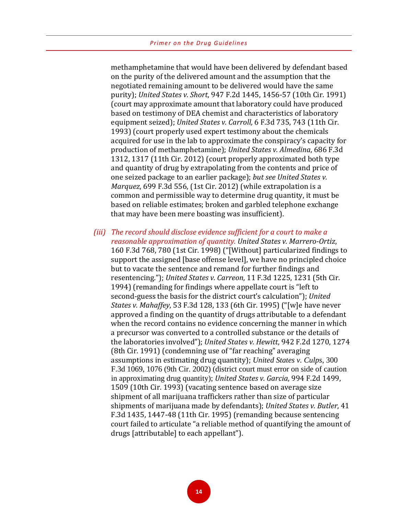methamphetamine that would have been delivered by defendant based on the purity of the delivered amount and the assumption that the negotiated remaining amount to be delivered would have the same purity); *United States v. Short*, 947 F.2d 1445, 1456-57 (10th Cir. 1991) (court may approximate amount that laboratory could have produced based on testimony of DEA chemist and characteristics of laboratory equipment seized); *United States v. Carroll,* 6 F.3d 735, 743 (11th Cir. 1993) (court properly used expert testimony about the chemicals acquired for use in the lab to approximate the conspiracy's capacity for production of methamphetamine); *United States v. Almedina*, 686 F.3d 1312, 1317 (11th Cir. 2012) (court properly approximated both type and quantity of drug by extrapolating from the contents and price of one seized package to an earlier package); *but see United States v. Marquez*, 699 F.3d 556, (1st Cir. 2012) (while extrapolation is a common and permissible way to determine drug quantity, it must be based on reliable estimates; broken and garbled telephone exchange that may have been mere boasting was insufficient).

*(iii) The record should disclose evidence sufficient for a court to make a reasonable approximation of quantity. United States v. Marrero-Ortiz*, 160 F.3d 768, 780 (1st Cir. 1998) ("[Without] particularized findings to support the assigned [base offense level], we have no principled choice but to vacate the sentence and remand for further findings and resentencing."); *United States v. Carreon*, 11 F.3d 1225, 1231 (5th Cir. 1994) (remanding for findings where appellate court is "left to second-guess the basis for the district court's calculation"); *United States v. Mahaffey*, 53 F.3d 128, 133 (6th Cir. 1995) ("[w]e have never approved a finding on the quantity of drugs attributable to a defendant when the record contains no evidence concerning the manner in which a precursor was converted to a controlled substance or the details of the laboratories involved"); *United States v. Hewitt*, 942 F.2d 1270, 1274 (8th Cir. 1991) (condemning use of "far reaching" averaging assumptions in estimating drug quantity); *United States v. Culps*, 300 F.3d 1069, 1076 (9th Cir. 2002) (district court must error on side of caution in approximating drug quantity); *United States v. Garcia*, 994 F.2d 1499, 1509 (10th Cir. 1993) (vacating sentence based on average size shipment of all marijuana traffickers rather than size of particular shipments of marijuana made by defendants); *United States v. Butler*, 41 F.3d 1435, 1447-48 (11th Cir. 1995) (remanding because sentencing court failed to articulate "a reliable method of quantifying the amount of drugs [attributable] to each appellant").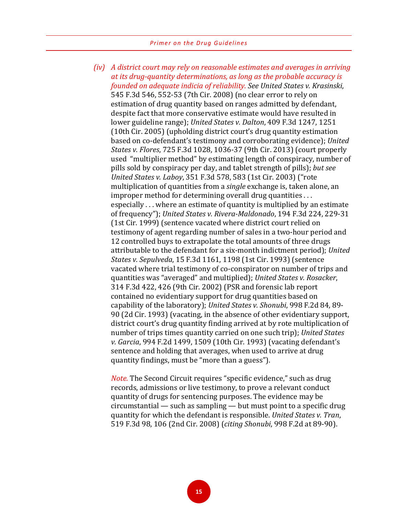*(iv) A district court may rely on reasonable estimates and averages in arriving at its drug-quantity determinations, as long as the probable accuracy is founded on adequate indicia of reliability. See United States v. Krasinski*, 545 F.3d 546, 552-53 (7th Cir. 2008) (no clear error to rely on estimation of drug quantity based on ranges admitted by defendant, despite fact that more conservative estimate would have resulted in lower guideline range); *United States v. Dalton*, 409 F.3d 1247, 1251 (10th Cir. 2005) (upholding district court's drug quantity estimation based on co-defendant's testimony and corroborating evidence); *United States v. Flores*, 725 F.3d 1028, 1036-37 (9th Cir. 2013) (court properly used "multiplier method" by estimating length of conspiracy, number of pills sold by conspiracy per day, and tablet strength of pills); *but see United States v. Laboy*, 351 F.3d 578, 583 (1st Cir. 2003) ("rote multiplication of quantities from a *single* exchange is, taken alone, an improper method for determining overall drug quantities . . . especially . . . where an estimate of quantity is multiplied by an estimate of frequency"); *United States v. Rivera-Maldonado*, 194 F.3d 224, 229-31 (1st Cir. 1999) (sentence vacated where district court relied on testimony of agent regarding number of sales in a two-hour period and 12 controlled buys to extrapolate the total amounts of three drugs attributable to the defendant for a six-month indictment period); *United States v. Sepulveda*, 15 F.3d 1161, 1198 (1st Cir. 1993) (sentence vacated where trial testimony of co-conspirator on number of trips and quantities was "averaged" and multiplied); *United States v. Rosacker*, 314 F.3d 422, 426 (9th Cir. 2002) (PSR and forensic lab report contained no evidentiary support for drug quantities based on capability of the laboratory); *United States v. Shonubi*, 998 F.2d 84, 89- 90 (2d Cir. 1993) (vacating, in the absence of other evidentiary support, district court's drug quantity finding arrived at by rote multiplication of number of trips times quantity carried on one such trip); *United States v. Garcia*, 994 F.2d 1499, 1509 (10th Cir. 1993) (vacating defendant's sentence and holding that averages, when used to arrive at drug quantity findings, must be "more than a guess").

*Note.* The Second Circuit requires "specific evidence," such as drug records, admissions or live testimony, to prove a relevant conduct quantity of drugs for sentencing purposes. The evidence may be circumstantial — such as sampling — but must point to a specific drug quantity for which the defendant is responsible. *United States v. Tran*, 519 F.3d 98, 106 (2nd Cir. 2008) (*citing Shonubi*, 998 F.2d at 89-90).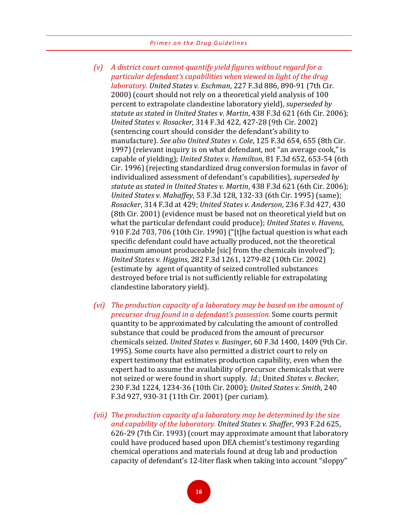- *(v) A district court cannot quantify yield figures without regard for a particular defendant's capabilities when viewed in light of the drug laboratory. United States v. Eschman*, 227 F.3d 886, 890-91 (7th Cir. 2000) (court should not rely on a theoretical yield analysis of 100 percent to extrapolate clandestine laboratory yield), *superseded by statute as stated in United States v. Martin*, 438 F.3d 621 (6th Cir. 2006); *United States v. Rosacker*, 314 F.3d 422, 427-28 (9th Cir. 2002) (sentencing court should consider the defendant's ability to manufacture). *See also United States v. Cole*, 125 F.3d 654, 655 (8th Cir. 1997) (relevant inquiry is on what defendant, not "an average cook," is capable of yielding); *United States v. Hamilton*, 81 F.3d 652, 653-54 (6th Cir. 1996) (rejecting standardized drug conversion formulas in favor of individualized assessment of defendant's capabilities), *superseded by statute as stated in United States v. Martin*, 438 F.3d 621 (6th Cir. 2006); *United States v. Mahaffey*, 53 F.3d 128, 132-33 (6th Cir. 1995) (same); *Rosacker*, 314 F.3d at 429; *United States v. Anderson*, 236 F.3d 427, 430 (8th Cir. 2001) (evidence must be based not on theoretical yield but on what the particular defendant could produce); *United States v. Havens*, 910 F.2d 703, 706 (10th Cir. 1990) ("[t]he factual question is what each specific defendant could have actually produced, not the theoretical maximum amount produceable [sic] from the chemicals involved"); *United States v. Higgins*, 282 F.3d 1261, 1279-82 (10th Cir. 2002) (estimate by agent of quantity of seized controlled substances destroyed before trial is not sufficiently reliable for extrapolating clandestine laboratory yield).
- *(vi) The production capacity of a laboratory may be based on the amount of precursor drug found in a defendant's possession.* Some courts permit quantity to be approximated by calculating the amount of controlled substance that could be produced from the amount of precursor chemicals seized. *United States v. Basinger*, 60 F.3d 1400, 1409 (9th Cir. 1995). Some courts have also permitted a district court to rely on expert testimony that estimates production capability, even when the expert had to assume the availability of precursor chemicals that were not seized or were found in short supply. *Id*.; United *States v. Becker*, 230 F.3d 1224, 1234-36 (10th Cir. 2000); *United States v. Smith*, 240 F.3d 927, 930-31 (11th Cir. 2001) (per curiam).
- *(vii) The production capacity of a laboratory may be determined by the size and capability of the laboratory. United States v. Shaffer*, 993 F.2d 625, 626-29 (7th Cir. 1993) (court may approximate amount that laboratory could have produced based upon DEA chemist's testimony regarding chemical operations and materials found at drug lab and production capacity of defendant's 12-liter flask when taking into account "sloppy"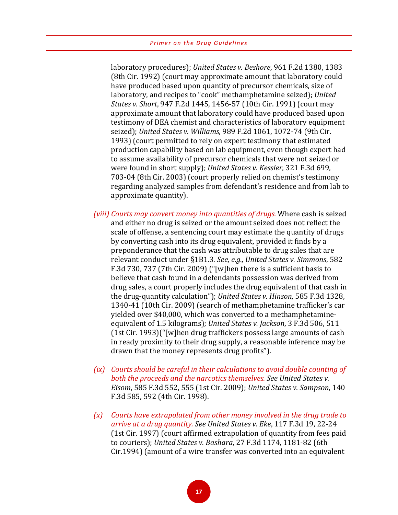laboratory procedures); *United States v. Beshore*, 961 F.2d 1380, 1383 (8th Cir. 1992) (court may approximate amount that laboratory could have produced based upon quantity of precursor chemicals, size of laboratory, and recipes to "cook" methamphetamine seized); *United States v. Short*, 947 F.2d 1445, 1456-57 (10th Cir. 1991) (court may approximate amount that laboratory could have produced based upon testimony of DEA chemist and characteristics of laboratory equipment seized); *United States v. Williams*, 989 F.2d 1061, 1072-74 (9th Cir. 1993) (court permitted to rely on expert testimony that estimated production capability based on lab equipment, even though expert had to assume availability of precursor chemicals that were not seized or were found in short supply); *United States v. Kessler*, 321 F.3d 699, 703-04 (8th Cir. 2003) (court properly relied on chemist's testimony regarding analyzed samples from defendant's residence and from lab to approximate quantity).

- *(viii) Courts may convert money into quantities of drugs.* Where cash is seized and either no drug is seized or the amount seized does not reflect the scale of offense, a sentencing court may estimate the quantity of drugs by converting cash into its drug equivalent, provided it finds by a preponderance that the cash was attributable to drug sales that are relevant conduct under §1B1.3. *See, e.g., United States v. Simmons*, 582 F.3d 730, 737 (7th Cir. 2009) ("[w]hen there is a sufficient basis to believe that cash found in a defendants possession was derived from drug sales, a court properly includes the drug equivalent of that cash in the drug-quantity calculation"); *United States v. Hinson*, 585 F.3d 1328, 1340-41 (10th Cir. 2009) (search of methamphetamine trafficker's car yielded over \$40,000, which was converted to a methamphetamineequivalent of 1.5 kilograms); *United States v. Jackson*, 3 F.3d 506, 511 (1st Cir. 1993)("[w]hen drug traffickers possess large amounts of cash in ready proximity to their drug supply, a reasonable inference may be drawn that the money represents drug profits").
- *(ix) Courts should be careful in their calculations to avoid double counting of both the proceeds and the narcotics themselves. See United States v. Eisom*, 585 F.3d 552, 555 (1st Cir. 2009); *United States v. Sampson*, 140 F.3d 585, 592 (4th Cir. 1998).
- *(x) Courts have extrapolated from other money involved in the drug trade to arrive at a drug quantity. See United States v. Eke*, 117 F.3d 19, 22-24 (1st Cir. 1997) (court affirmed extrapolation of quantity from fees paid to couriers); *United States v. Bashara*, 27 F.3d 1174, 1181-82 (6th Cir.1994) (amount of a wire transfer was converted into an equivalent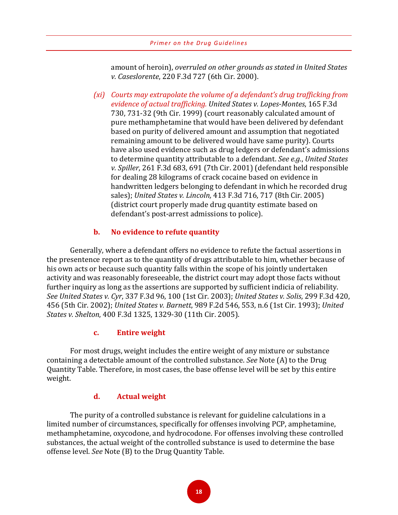amount of heroin), *overruled on other grounds as stated in United States v. Caseslorente*, 220 F.3d 727 (6th Cir. 2000).

*(xi) Courts may extrapolate the volume of a defendant's drug trafficking from evidence of actual trafficking. United States v. Lopes-Montes*, 165 F.3d 730, 731-32 (9th Cir. 1999) (court reasonably calculated amount of pure methamphetamine that would have been delivered by defendant based on purity of delivered amount and assumption that negotiated remaining amount to be delivered would have same purity). Courts have also used evidence such as drug ledgers or defendant's admissions to determine quantity attributable to a defendant. *See e.g.*, *United States v. Spiller*, 261 F.3d 683, 691 (7th Cir. 2001) (defendant held responsible for dealing 28 kilograms of crack cocaine based on evidence in handwritten ledgers belonging to defendant in which he recorded drug sales); *United States v. Lincoln,* 413 F.3d 716, 717 (8th Cir. 2005) (district court properly made drug quantity estimate based on defendant's post-arrest admissions to police).

# **b. No evidence to refute quantity**

Generally, where a defendant offers no evidence to refute the factual assertions in the presentence report as to the quantity of drugs attributable to him, whether because of his own acts or because such quantity falls within the scope of his jointly undertaken activity and was reasonably foreseeable, the district court may adopt those facts without further inquiry as long as the assertions are supported by sufficient indicia of reliability. *See United States v. Cyr*, 337 F.3d 96, 100 (1st Cir. 2003); *United States v. Solis*, 299 F.3d 420, 456 (5th Cir. 2002); *United States v. Barnett*, 989 F.2d 546, 553, n.6 (1st Cir. 1993); *United States v. Shelton*, 400 F.3d 1325, 1329-30 (11th Cir. 2005).

#### **c. Entire weight**

For most drugs, weight includes the entire weight of any mixture or substance containing a detectable amount of the controlled substance. *See* Note (A) to the Drug Quantity Table. Therefore, in most cases, the base offense level will be set by this entire weight.

#### **d. Actual weight**

The purity of a controlled substance is relevant for guideline calculations in a limited number of circumstances, specifically for offenses involving PCP, amphetamine, methamphetamine, oxycodone, and hydrocodone. For offenses involving these controlled substances, the actual weight of the controlled substance is used to determine the base offense level. *See* Note (B) to the Drug Quantity Table.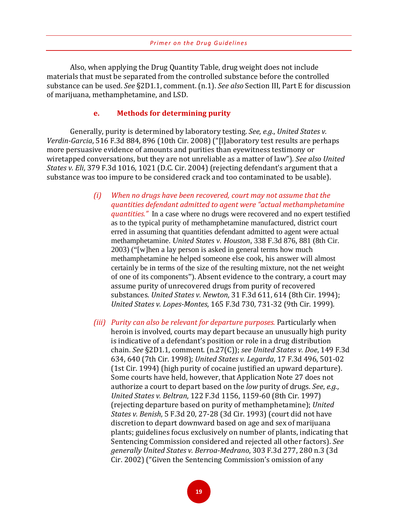Also, when applying the Drug Quantity Table, drug weight does not include materials that must be separated from the controlled substance before the controlled substance can be used. *See* §2D1.1, comment. (n.1). *See also* Section III, Part E for discussion of marijuana, methamphetamine, and LSD.

#### **e. Methods for determining purity**

Generally, purity is determined by laboratory testing. *See, e.g.*, *United States v. Verdin-Garcia*, 516 F.3d 884, 896 (10th Cir. 2008) ("[l]aboratory test results are perhaps more persuasive evidence of amounts and purities than eyewitness testimony or wiretapped conversations, but they are not unreliable as a matter of law"). *See also United States v. Eli*, 379 F.3d 1016, 1021 (D.C. Cir. 2004) (rejecting defendant's argument that a substance was too impure to be considered crack and too contaminated to be usable).

- *(i) When no drugs have been recovered, court may not assume that the quantities defendant admitted to agent were "actual methamphetamine quantities."* In a case where no drugs were recovered and no expert testified as to the typical purity of methamphetamine manufactured, district court erred in assuming that quantities defendant admitted to agent were actual methamphetamine. *United States v. Houston*, 338 F.3d 876, 881 (8th Cir. 2003) ("[w]hen a lay person is asked in general terms how much methamphetamine he helped someone else cook, his answer will almost certainly be in terms of the size of the resulting mixture, not the net weight of one of its components"). Absent evidence to the contrary, a court may assume purity of unrecovered drugs from purity of recovered substances. *United States v. Newton*, 31 F.3d 611, 614 (8th Cir. 1994); *United States v. Lopes-Montes*, 165 F.3d 730, 731-32 (9th Cir. 1999).
- *(iii) Purity can also be relevant for departure purposes.* Particularly when heroin is involved, courts may depart because an unusually high purity is indicative of a defendant's position or role in a drug distribution chain. *See* §2D1.1, comment. (n.27(C)); *see United States v. Doe*, 149 F.3d 634, 640 (7th Cir. 1998); *United States v. Legarda*, 17 F.3d 496, 501-02 (1st Cir. 1994) (high purity of cocaine justified an upward departure). Some courts have held, however, that Application Note 27 does not authorize a court to depart based on the *low* purity of drugs. *See*, *e.g.*, *United States v. Beltran*, 122 F.3d 1156, 1159-60 (8th Cir. 1997) (rejecting departure based on purity of methamphetamine); *United States v. Benish*, 5 F.3d 20, 27-28 (3d Cir. 1993) (court did not have discretion to depart downward based on age and sex of marijuana plants; guidelines focus exclusively on number of plants, indicating that Sentencing Commission considered and rejected all other factors). *See generally United States v. Berroa-Medrano*, 303 F.3d 277, 280 n.3 (3d Cir. 2002) ("Given the Sentencing Commission's omission of any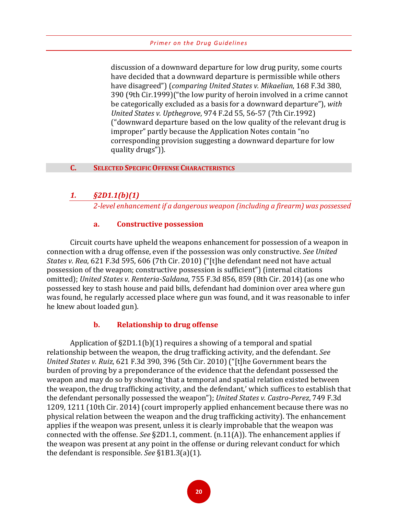discussion of a downward departure for low drug purity, some courts have decided that a downward departure is permissible while others have disagreed") (*comparing United States v. Mikaelian*, 168 F.3d 380, 390 (9th Cir.1999)("the low purity of heroin involved in a crime cannot be categorically excluded as a basis for a downward departure"), *with United States v. Upthegrove*, 974 F.2d 55, 56-57 (7th Cir.1992) ("downward departure based on the low quality of the relevant drug is improper" partly because the Application Notes contain "no corresponding provision suggesting a downward departure for low quality drugs")).

#### **C. SELECTED SPECIFIC OFFENSE CHARACTERISTICS**

#### *1. §2D1.1(b)(1)*

*2-level enhancement if a dangerous weapon (including a firearm) was possessed*

#### **a. Constructive possession**

Circuit courts have upheld the weapons enhancement for possession of a weapon in connection with a drug offense, even if the possession was only constructive. *See United States v. Rea*, 621 F.3d 595, 606 (7th Cir. 2010) ("[t]he defendant need not have actual possession of the weapon; constructive possession is sufficient") (internal citations omitted); *United States v. Renteria-Saldana*, 755 F.3d 856, 859 (8th Cir. 2014) (as one who possessed key to stash house and paid bills, defendant had dominion over area where gun was found, he regularly accessed place where gun was found, and it was reasonable to infer he knew about loaded gun).

#### **b. Relationship to drug offense**

Application of §2D1.1(b)(1) requires a showing of a temporal and spatial relationship between the weapon, the drug trafficking activity, and the defendant. *See United States v. Ruiz*, 621 F.3d 390, 396 (5th Cir. 2010) ("[t]he Government bears the burden of proving by a preponderance of the evidence that the defendant possessed the weapon and may do so by showing 'that a temporal and spatial relation existed between the weapon, the drug trafficking activity, and the defendant,' which suffices to establish that the defendant personally possessed the weapon"); *United States v. Castro-Perez*, 749 F.3d 1209, 1211 (10th Cir. 2014) (court improperly applied enhancement because there was no physical relation between the weapon and the drug trafficking activity). The enhancement applies if the weapon was present, unless it is clearly improbable that the weapon was connected with the offense. *See* §2D1.1, comment. (n.11(A)). The enhancement applies if the weapon was present at any point in the offense or during relevant conduct for which the defendant is responsible. *See* §1B1.3(a)(1).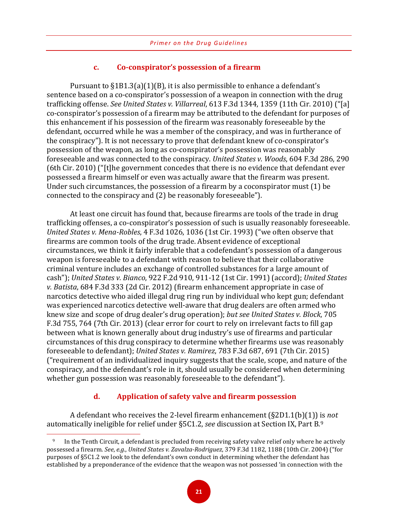#### **c. Co-conspirator's possession of a firearm**

Pursuant to §1B1.3(a)(1)(B), it is also permissible to enhance a defendant's sentence based on a co-conspirator's possession of a weapon in connection with the drug trafficking offense. *See United States v. Villarreal*, 613 F.3d 1344, 1359 (11th Cir. 2010) ("[a] co-conspirator's possession of a firearm may be attributed to the defendant for purposes of this enhancement if his possession of the firearm was reasonably foreseeable by the defendant, occurred while he was a member of the conspiracy, and was in furtherance of the conspiracy"). It is not necessary to prove that defendant knew of co-conspirator's possession of the weapon, as long as co-conspirator's possession was reasonably foreseeable and was connected to the conspiracy. *United States v. Woods*, 604 F.3d 286, 290 (6th Cir. 2010) ("[t]he government concedes that there is no evidence that defendant ever possessed a firearm himself or even was actually aware that the firearm was present. Under such circumstances, the possession of a firearm by a coconspirator must (1) be connected to the conspiracy and (2) be reasonably foreseeable").

At least one circuit has found that, because firearms are tools of the trade in drug trafficking offenses, a co-conspirator's possession of such is usually reasonably foreseeable. *United States v. Mena-Robles*, 4 F.3d 1026, 1036 (1st Cir. 1993) ("we often observe that firearms are common tools of the drug trade. Absent evidence of exceptional circumstances, we think it fairly inferable that a codefendant's possession of a dangerous weapon is foreseeable to a defendant with reason to believe that their collaborative criminal venture includes an exchange of controlled substances for a large amount of cash"); *United States v. Bianco*, 922 F.2d 910, 911-12 (1st Cir. 1991) (accord); *United States v. Batista*, 684 F.3d 333 (2d Cir. 2012) (firearm enhancement appropriate in case of narcotics detective who aided illegal drug ring run by individual who kept gun; defendant was experienced narcotics detective well-aware that drug dealers are often armed who knew size and scope of drug dealer's drug operation); *but see United States v. Block*, 705 F.3d 755, 764 (7th Cir. 2013) (clear error for court to rely on irrelevant facts to fill gap between what is known generally about drug industry's use of firearms and particular circumstances of this drug conspiracy to determine whether firearms use was reasonably foreseeable to defendant); *United States v. Ramirez*, 783 F.3d 687, 691 (7th Cir. 2015) ("requirement of an individualized inquiry suggests that the scale, scope, and nature of the conspiracy, and the defendant's role in it, should usually be considered when determining whether gun possession was reasonably foreseeable to the defendant").

#### **d. Application of safety valve and firearm possession**

A defendant who receives the 2-level firearm enhancement (§2D1.1(b)(1)) is *not* automatically ineligible for relief under §5C1.2, *see* discussion at Section IX, Part B.[9](#page-24-0)

 $\overline{a}$ 

<span id="page-24-0"></span><sup>&</sup>lt;sup>9</sup> In the Tenth Circuit, a defendant is precluded from receiving safety valve relief only where he actively possessed a firearm. *See*, *e.g.*, *United States v. Zavalza-Rodriguez*, 379 F.3d 1182, 1188 (10th Cir. 2004) ("for purposes of §5C1.2 we look to the defendant's own conduct in determining whether the defendant has established by a preponderance of the evidence that the weapon was not possessed 'in connection with the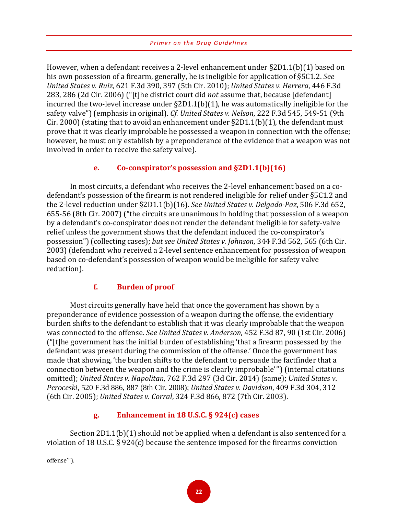However, when a defendant receives a 2-level enhancement under §2D1.1(b)(1) based on his own possession of a firearm, generally, he is ineligible for application of §5C1.2. *See United States v. Ruiz*, 621 F.3d 390, 397 (5th Cir. 2010); *United States v. Herrera*, 446 F.3d 283, 286 (2d Cir. 2006) ("[t]he district court did *not* assume that, because [defendant] incurred the two-level increase under §2D1.1(b)(1), he was automatically ineligible for the safety valve") (emphasis in original). *Cf. United States v. Nelson*, 222 F.3d 545, 549-51 (9th Cir. 2000) (stating that to avoid an enhancement under  $\S2D1.1(b)(1)$ , the defendant must prove that it was clearly improbable he possessed a weapon in connection with the offense; however, he must only establish by a preponderance of the evidence that a weapon was not involved in order to receive the safety valve).

# **e. Co-conspirator's possession and §2D1.1(b)(16)**

In most circuits, a defendant who receives the 2-level enhancement based on a codefendant's possession of the firearm is not rendered ineligible for relief under §5C1.2 and the 2-level reduction under §2D1.1(b)(16). *See United States v. Delgado-Paz*, 506 F.3d 652, 655-56 (8th Cir. 2007) ("the circuits are unanimous in holding that possession of a weapon by a defendant's co-conspirator does not render the defendant ineligible for safety-valve relief unless the government shows that the defendant induced the co-conspirator's possession") (collecting cases); *but see United States v. Johnson*, 344 F.3d 562, 565 (6th Cir. 2003) (defendant who received a 2-level sentence enhancement for possession of weapon based on co-defendant's possession of weapon would be ineligible for safety valve reduction).

# **f. Burden of proof**

Most circuits generally have held that once the government has shown by a preponderance of evidence possession of a weapon during the offense, the evidentiary burden shifts to the defendant to establish that it was clearly improbable that the weapon was connected to the offense. *See United States v. Anderson*, 452 F.3d 87, 90 (1st Cir. 2006) ("[t]he government has the initial burden of establishing 'that a firearm possessed by the defendant was present during the commission of the offense.' Once the government has made that showing, 'the burden shifts to the defendant to persuade the factfinder that a connection between the weapon and the crime is clearly improbable'") (internal citations omitted); *United States v. Napolitan*, 762 F.3d 297 (3d Cir. 2014) (same); *United States v. Peroceski*, 520 F.3d 886, 887 (8th Cir. 2008); *United States v. Davidson*, 409 F.3d 304, 312 (6th Cir. 2005); *United States v. Corral*, 324 F.3d 866, 872 (7th Cir. 2003).

# **g. Enhancement in 18 U.S.C. § 924(c) cases**

Section 2D1.1(b)(1) should not be applied when a defendant is also sentenced for a violation of 18 U.S.C. § 924(c) because the sentence imposed for the firearms conviction

 $\overline{a}$ 

offense'").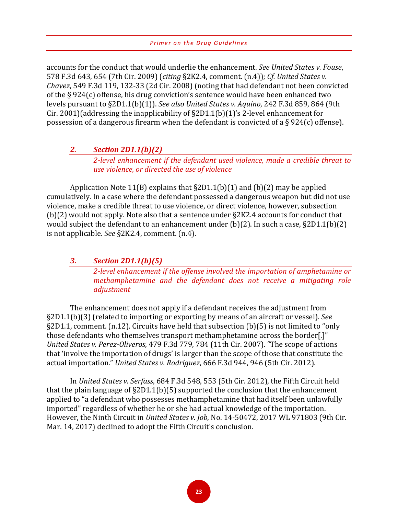accounts for the conduct that would underlie the enhancement. *See United States v. Fouse*, 578 F.3d 643, 654 (7th Cir. 2009) (*citing* §2K2.4, comment. (n.4)); *Cf. United States v. Chavez*, 549 F.3d 119, 132-33 (2d Cir. 2008) (noting that had defendant not been convicted of the § 924(c) offense, his drug conviction's sentence would have been enhanced two levels pursuant to §2D1.1(b)(1)). *See also United States v. Aquino*, 242 F.3d 859, 864 (9th Cir. 2001)(addressing the inapplicability of §2D1.1(b)(1)'s 2-level enhancement for possession of a dangerous firearm when the defendant is convicted of a § 924(c) offense).

#### *2. Section 2D1.1(b)(2)*

*2-level enhancement if the defendant used violence, made a credible threat to use violence, or directed the use of violence*

Application Note 11(B) explains that §2D1.1(b)(1) and (b)(2) may be applied cumulatively. In a case where the defendant possessed a dangerous weapon but did not use violence, make a credible threat to use violence, or direct violence, however, subsection (b)(2) would not apply. Note also that a sentence under §2K2.4 accounts for conduct that would subject the defendant to an enhancement under (b)(2). In such a case, §2D1.1(b)(2) is not applicable. *See* §2K2.4, comment. (n.4).

#### *3. Section 2D1.1(b)(5)*

*2-level enhancement if the offense involved the importation of amphetamine or methamphetamine and the defendant does not receive a mitigating role adjustment*

The enhancement does not apply if a defendant receives the adjustment from §2D1.1(b)(3) (related to importing or exporting by means of an aircraft or vessel). *See*  §2D1.1, comment. (n.12). Circuits have held that subsection (b)(5) is not limited to "only those defendants who themselves transport methamphetamine across the border[.]" *United States v. Perez-Oliveros*, 479 F.3d 779, 784 (11th Cir. 2007). "The scope of actions that 'involve the importation of drugs' is larger than the scope of those that constitute the actual importation." *United States v. Rodriguez*, 666 F.3d 944, 946 (5th Cir. 2012).

In *United States v. Serfass*, 684 F.3d 548, 553 (5th Cir. 2012), the Fifth Circuit held that the plain language of  $\S2D1.1(b)(5)$  supported the conclusion that the enhancement applied to "a defendant who possesses methamphetamine that had itself been unlawfully imported" regardless of whether he or she had actual knowledge of the importation. However, the Ninth Circuit in *United States v. Job*, No. 14-50472, 2017 WL 971803 (9th Cir. Mar. 14, 2017) declined to adopt the Fifth Circuit's conclusion.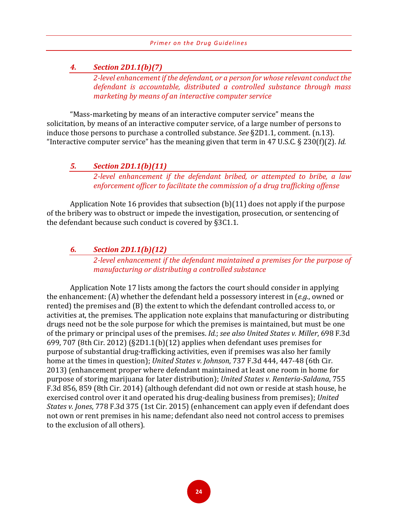#### *4. Section 2D1.1(b)(7)*

*2-level enhancement if the defendant, or a person for whose relevant conduct the defendant is accountable, distributed a controlled substance through mass marketing by means of an interactive computer service*

"Mass-marketing by means of an interactive computer service" means the solicitation, by means of an interactive computer service, of a large number of persons to induce those persons to purchase a controlled substance. *See* §2D1.1, comment. (n.13). "Interactive computer service" has the meaning given that term in 47 U.S.C. § 230(f)(2). *Id.* 

#### *5. Section 2D1.1(b)(11)*

*2-level enhancement if the defendant bribed, or attempted to bribe, a law enforcement officer to facilitate the commission of a drug trafficking offense*

Application Note 16 provides that subsection (b)(11) does not apply if the purpose of the bribery was to obstruct or impede the investigation, prosecution, or sentencing of the defendant because such conduct is covered by §3C1.1.

#### *6. Section 2D1.1(b)(12)*

*2-level enhancement if the defendant maintained a premises for the purpose of manufacturing or distributing a controlled substance*

Application Note 17 lists among the factors the court should consider in applying the enhancement: (A) whether the defendant held a possessory interest in (*e.g.*, owned or rented) the premises and (B) the extent to which the defendant controlled access to, or activities at, the premises. The application note explains that manufacturing or distributing drugs need not be the sole purpose for which the premises is maintained, but must be one of the primary or principal uses of the premises. *Id.*; *see also United States v. Miller*, 698 F.3d 699, 707 (8th Cir. 2012) (§2D1.1(b)(12) applies when defendant uses premises for purpose of substantial drug-trafficking activities, even if premises was also her family home at the times in question); *United States v. Johnson*, 737 F.3d 444, 447-48 (6th Cir. 2013) (enhancement proper where defendant maintained at least one room in home for purpose of storing marijuana for later distribution); *United States v. Renteria-Saldana*, 755 F.3d 856, 859 (8th Cir. 2014) (although defendant did not own or reside at stash house, he exercised control over it and operated his drug-dealing business from premises); *United States v. Jones*, 778 F.3d 375 (1st Cir. 2015) (enhancement can apply even if defendant does not own or rent premises in his name; defendant also need not control access to premises to the exclusion of all others).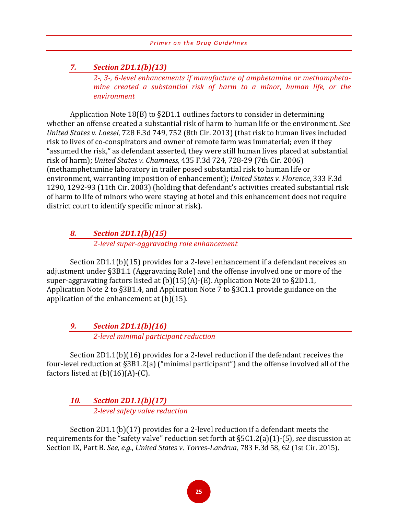# *7. Section 2D1.1(b)(13)*

*2-, 3-, 6-level enhancements if manufacture of amphetamine or methamphetamine created a substantial risk of harm to a minor, human life, or the environment*

Application Note 18(B) to §2D1.1 outlines factors to consider in determining whether an offense created a substantial risk of harm to human life or the environment. *See United States v. Loesel*, 728 F.3d 749, 752 (8th Cir. 2013) (that risk to human lives included risk to lives of co-conspirators and owner of remote farm was immaterial; even if they "assumed the risk," as defendant asserted, they were still human lives placed at substantial risk of harm); *United States v. Chamness,* 435 F.3d 724, 728-29 (7th Cir. 2006) (methamphetamine laboratory in trailer posed substantial risk to human life or environment, warranting imposition of enhancement); *United States v. Florence*, 333 F.3d 1290, 1292-93 (11th Cir. 2003) (holding that defendant's activities created substantial risk of harm to life of minors who were staying at hotel and this enhancement does not require district court to identify specific minor at risk).

# *8. Section 2D1.1(b)(15)*

*2-level super-aggravating role enhancement*

Section 2D1.1(b)(15) provides for a 2-level enhancement if a defendant receives an adjustment under §3B1.1 (Aggravating Role) and the offense involved one or more of the super-aggravating factors listed at (b)(15)(A)-(E). Application Note 20 to §2D1.1, Application Note 2 to §3B1.4, and Application Note 7 to §3C1.1 provide guidance on the application of the enhancement at (b)(15).

# *9. Section 2D1.1(b)(16) 2-level minimal participant reduction*

Section 2D1.1(b)(16) provides for a 2-level reduction if the defendant receives the four-level reduction at §3B1.2(a) ("minimal participant") and the offense involved all of the factors listed at  $(b)(16)(A)-(C)$ .

# *10. Section 2D1.1(b)(17) 2-level safety valve reduction*

Section 2D1.1(b)(17) provides for a 2-level reduction if a defendant meets the requirements for the "safety valve" reduction set forth at §5C1.2(a)(1)-(5), *see* discussion at Section IX, Part B. *See, e.g.*, *United States v. Torres-Landrua*, 783 F.3d 58, 62 (1st Cir. 2015).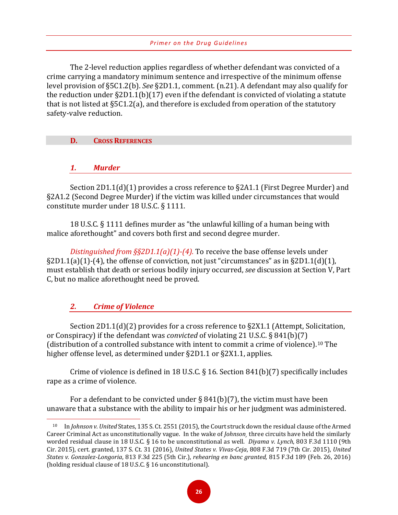The 2-level reduction applies regardless of whether defendant was convicted of a crime carrying a mandatory minimum sentence and irrespective of the minimum offense level provision of §5C1.2(b). *See* §2D1.1, comment. (n.21). A defendant may also qualify for the reduction under §2D1.1(b)(17) even if the defendant is convicted of violating a statute that is not listed at §5C1.2(a), and therefore is excluded from operation of the statutory safety-valve reduction.

#### **D. CROSS REFERENCES**

*1. Murder*

Section 2D1.1(d)(1) provides a cross reference to §2A1.1 (First Degree Murder) and §2A1.2 (Second Degree Murder) if the victim was killed under circumstances that would constitute murder under 18 U.S.C. § 1111.

18 U.S.C. § 1111 defines murder as "the unlawful killing of a human being with malice aforethought" and covers both first and second degree murder.

*Distinguished from §§2D1.1(a)(1)-(4).* To receive the base offense levels under  $\S2D1.1(a)(1)-(4)$ , the offense of conviction, not just "circumstances" as in  $\S2D1.1(d)(1)$ , must establish that death or serious bodily injury occurred, *see* discussion at Section V, Part C, but no malice aforethought need be proved.

#### *2. Crime of Violence*

 $\overline{a}$ 

Section 2D1.1(d)(2) provides for a cross reference to §2X1.1 (Attempt, Solicitation, or Conspiracy) if the defendant was *convicted* of violating 21 U.S.C. § 841(b)(7) (distribution of a controlled substance with intent to commit a crime of violence).[10](#page-29-0) The higher offense level, as determined under §2D1.1 or §2X1.1, applies.

Crime of violence is defined in 18 U.S.C. § 16. Section 841(b)(7) specifically includes rape as a crime of violence.

For a defendant to be convicted under  $\S 841(b)(7)$ , the victim must have been unaware that a substance with the ability to impair his or her judgment was administered.

<span id="page-29-0"></span><sup>10</sup> In *Johnson v. United* States, 135 S. Ct. 2551 (2015), the Court struck down the residual clause of the Armed Career Criminal Act as unconstitutionally vague. In the wake of *Johnson¸* three circuits have held the similarly worded residual clause in 18 U.S.C. § 16 to be unconstitutional as well. *Diyama v. Lynch*, 803 F.3d 1110 (9th Cir. 2015), cert. granted, 137 S. Ct. 31 (2016), *United States v. Vivas-Ceja*, 808 F.3d 719 (7th Cir. 2015), *United States v. Gonzalez-Longoria*, 813 F.3d 225 (5th Cir.), *rehearing en banc granted,* 815 F.3d 189 (Feb. 26, 2016) (holding residual clause of 18 U.S.C. § 16 unconstitutional).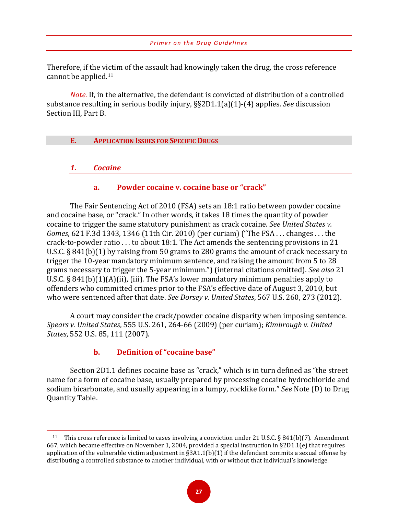Therefore, if the victim of the assault had knowingly taken the drug, the cross reference cannot be applied.[11](#page-30-0)

*Note.* If, in the alternative, the defendant is convicted of distribution of a controlled substance resulting in serious bodily injury, §§2D1.1(a)(1)-(4) applies. *See* discussion Section III, Part B.

#### **E. APPLICATION ISSUES FOR SPECIFIC DRUGS**

#### *1. Cocaine*

 $\overline{a}$ 

# **a. Powder cocaine v. cocaine base or "crack"**

The Fair Sentencing Act of 2010 (FSA) sets an 18:1 ratio between powder cocaine and cocaine base, or "crack." In other words, it takes 18 times the quantity of powder cocaine to trigger the same statutory punishment as crack cocaine. *See United States v. Gomes*, 621 F.3d 1343, 1346 (11th Cir. 2010) (per curiam) ("The FSA . . . changes . . . the crack-to-powder ratio . . . to about 18:1. The Act amends the sentencing provisions in 21 U.S.C. § 841(b)(1) by raising from 50 grams to 280 grams the amount of crack necessary to trigger the 10-year mandatory minimum sentence, and raising the amount from 5 to 28 grams necessary to trigger the 5-year minimum.") (internal citations omitted). *See also* 21 U.S.C. § 841(b)(1)(A)(ii), (iii). The FSA's lower mandatory minimum penalties apply to offenders who committed crimes prior to the FSA's effective date of August 3, 2010, but who were sentenced after that date. *See Dorsey v. United States*, 567 U.S. 260, 273 (2012).

A court may consider the crack/powder cocaine disparity when imposing sentence. *Spears v. United States*, 555 U.S. 261, 264-66 (2009) (per curiam); *Kimbrough v. United States*, 552 U.S. 85, 111 (2007).

# **b. Definition of "cocaine base"**

Section 2D1.1 defines cocaine base as "crack," which is in turn defined as "the street name for a form of cocaine base, usually prepared by processing cocaine hydrochloride and sodium bicarbonate, and usually appearing in a lumpy, rocklike form." *See* Note (D) to Drug Quantity Table.

<span id="page-30-0"></span><sup>&</sup>lt;sup>11</sup> This cross reference is limited to cases involving a conviction under 21 U.S.C. § 841(b)(7). Amendment 667, which became effective on November 1, 2004, provided a special instruction in §2D1.1(e) that requires application of the vulnerable victim adjustment in  $\S 3A1.1(b)(1)$  if the defendant commits a sexual offense by distributing a controlled substance to another individual, with or without that individual's knowledge.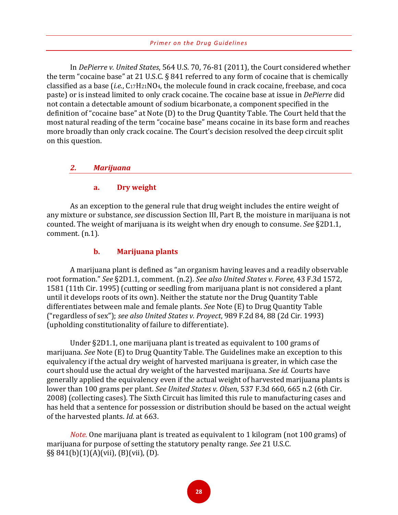In *DePierre v. United States*, 564 U.S. 70, 76-81 (2011), the Court considered whether the term "cocaine base" at 21 U.S.C. § 841 referred to any form of cocaine that is chemically classified as a base (*i.e.*, C17H21NO4, the molecule found in crack cocaine, freebase, and coca paste) or is instead limited to only crack cocaine. The cocaine base at issue in *DePierre* did not contain a detectable amount of sodium bicarbonate, a component specified in the definition of "cocaine base" at Note (D) to the Drug Quantity Table. The Court held that the most natural reading of the term "cocaine base" means cocaine in its base form and reaches more broadly than only crack cocaine. The Court's decision resolved the deep circuit split on this question.

#### *2. Marijuana*

#### **a. Dry weight**

As an exception to the general rule that drug weight includes the entire weight of any mixture or substance, *see* discussion Section III, Part B, the moisture in marijuana is not counted. The weight of marijuana is its weight when dry enough to consume. *See* §2D1.1, comment. (n.1).

#### **b. Marijuana plants**

A marijuana plant is defined as "an organism having leaves and a readily observable root formation." *See* §2D1.1*,* comment. (n.2). *See also United States v. Foree*, 43 F.3d 1572, 1581 (11th Cir. 1995) (cutting or seedling from marijuana plant is not considered a plant until it develops roots of its own). Neither the statute nor the Drug Quantity Table differentiates between male and female plants. *See* Note (E) to Drug Quantity Table ("regardless of sex"); *see also United States v. Proyect*, 989 F.2d 84, 88 (2d Cir. 1993) (upholding constitutionality of failure to differentiate).

Under §2D1.1, one marijuana plant is treated as equivalent to 100 grams of marijuana. *See* Note (E) to Drug Quantity Table. The Guidelines make an exception to this equivalency if the actual dry weight of harvested marijuana is greater, in which case the court should use the actual dry weight of the harvested marijuana. *See id.* Courts have generally applied the equivalency even if the actual weight of harvested marijuana plants is lower than 100 grams per plant. *See United States v. Olsen*, 537 F.3d 660, 665 n.2 (6th Cir. 2008) (collecting cases). The Sixth Circuit has limited this rule to manufacturing cases and has held that a sentence for possession or distribution should be based on the actual weight of the harvested plants. *Id.* at 663.

*Note.* One marijuana plant is treated as equivalent to 1 kilogram (not 100 grams) of marijuana for purpose of setting the statutory penalty range. *See* 21 U.S.C. §§ 841(b)(1)(A)(vii), (B)(vii), (D).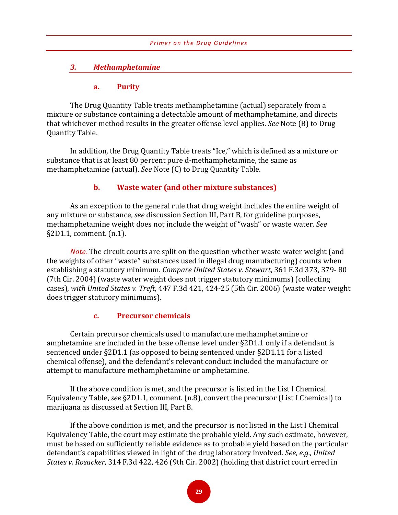#### *3. Methamphetamine*

#### **a. Purity**

The Drug Quantity Table treats methamphetamine (actual) separately from a mixture or substance containing a detectable amount of methamphetamine, and directs that whichever method results in the greater offense level applies. *See* Note (B) to Drug Quantity Table.

In addition, the Drug Quantity Table treats "Ice," which is defined as a mixture or substance that is at least 80 percent pure d-methamphetamine, the same as methamphetamine (actual). *See* Note (C) to Drug Quantity Table.

#### **b. Waste water (and other mixture substances)**

As an exception to the general rule that drug weight includes the entire weight of any mixture or substance, *see* discussion Section III, Part B, for guideline purposes, methamphetamine weight does not include the weight of "wash" or waste water. *See* §2D1.1, comment. (n.1).

*Note.* The circuit courts are split on the question whether waste water weight (and the weights of other "waste" substances used in illegal drug manufacturing) counts when establishing a statutory minimum. *Compare United States v. Stewart*, 361 F.3d 373, 379- 80 (7th Cir. 2004) (waste water weight does not trigger statutory minimums) (collecting cases), *with United States v. Treft*, 447 F.3d 421, 424-25 (5th Cir. 2006) (waste water weight does trigger statutory minimums).

#### **c. Precursor chemicals**

Certain precursor chemicals used to manufacture methamphetamine or amphetamine are included in the base offense level under §2D1.1 only if a defendant is sentenced under §2D1.1 (as opposed to being sentenced under §2D1.11 for a listed chemical offense), and the defendant's relevant conduct included the manufacture or attempt to manufacture methamphetamine or amphetamine.

If the above condition is met, and the precursor is listed in the List I Chemical Equivalency Table, *see* §2D1.1, comment. (n.8), convert the precursor (List I Chemical) to marijuana as discussed at Section III, Part B.

If the above condition is met, and the precursor is not listed in the List I Chemical Equivalency Table, the court may estimate the probable yield. Any such estimate, however, must be based on sufficiently reliable evidence as to probable yield based on the particular defendant's capabilities viewed in light of the drug laboratory involved. *See, e.g.*, *United States v. Rosacker*, 314 F.3d 422, 426 (9th Cir. 2002) (holding that district court erred in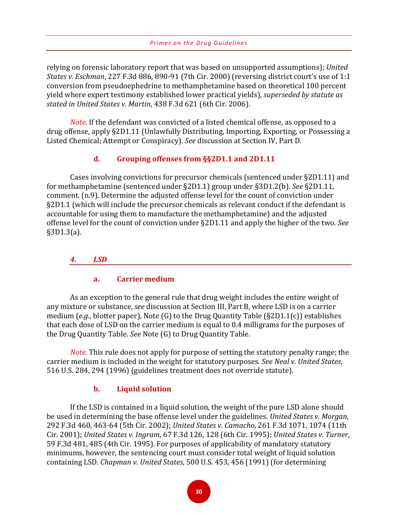relying on forensic laboratory report that was based on unsupported assumptions); *United States v. Eschman*, 227 F.3d 886, 890-91 (7th Cir. 2000) (reversing district court's use of 1:1 conversion from pseudoephedrine to methamphetamine based on theoretical 100 percent yield where expert testimony established lower practical yields), *superseded by statute as stated in United States v. Martin*, 438 F.3d 621 (6th Cir. 2006).

*Note.* If the defendant was convicted of a listed chemical offense, as opposed to a drug offense, apply §2D1.11 (Unlawfully Distributing, Importing, Exporting, or Possessing a Listed Chemical; Attempt or Conspiracy). *See* discussion at Section IV, Part D*.* 

#### **d. Grouping offenses from §§2D1.1 and 2D1.11**

Cases involving convictions for precursor chemicals (sentenced under §2D1.11) and for methamphetamine (sentenced under §2D1.1) group under §3D1.2(b). *See* §2D1.11, comment. (n.9). Determine the adjusted offense level for the count of conviction under §2D1.1 (which will include the precursor chemicals as relevant conduct if the defendant is accountable for using them to manufacture the methamphetamine) and the adjusted offense level for the count of conviction under §2D1.11 and apply the higher of the two. *See*  §3D1.3(a).

#### *4. LSD*

#### **a. Carrier medium**

As an exception to the general rule that drug weight includes the entire weight of any mixture or substance, *see* discussion at Section III, Part B, where LSD is on a carrier medium (*e.g.*, blotter paper), Note (G) to the Drug Quantity Table (§2D1.1(c)) establishes that each dose of LSD on the carrier medium is equal to 0.4 milligrams for the purposes of the Drug Quantity Table. *See* Note (G) to Drug Quantity Table.

*Note.* This rule does not apply for purpose of setting the statutory penalty range; the carrier medium is included in the weight for statutory purposes. *See Neal v. United States*, 516 U.S. 284, 294 (1996) (guidelines treatment does not override statute).

#### **b. Liquid solution**

If the LSD is contained in a liquid solution, the weight of the pure LSD alone should be used in determining the base offense level under the guidelines. *United States v. Morgan*, 292 F.3d 460, 463-64 (5th Cir. 2002); *United States v. Camacho*, 261 F.3d 1071, 1074 (11th Cir. 2001); *United States v. Ingram*, 67 F.3d 126, 128 (6th Cir. 1995); *United States v. Turner*, 59 F.3d 481, 485 (4th Cir. 1995). For purposes of applicability of mandatory statutory minimums, however, the sentencing court must consider total weight of liquid solution containing LSD. *Chapman v. United States*, 500 U.S. 453, 456 (1991) (for determining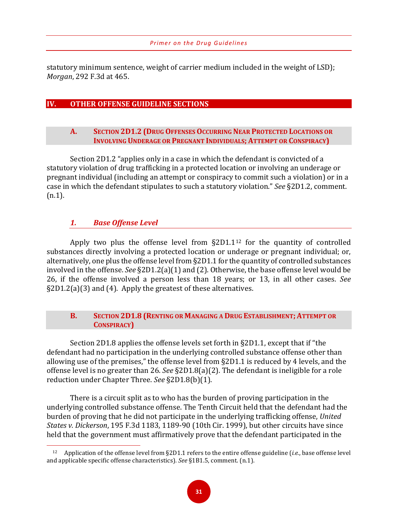statutory minimum sentence, weight of carrier medium included in the weight of LSD); *Morgan*, 292 F.3d at 465.

## **IV. OTHER OFFENSE GUIDELINE SECTIONS**

#### **A. SECTION 2D1.2 (DRUG OFFENSES OCCURRING NEAR PROTECTED LOCATIONS OR INVOLVING UNDERAGE OR PREGNANT INDIVIDUALS; ATTEMPT OR CONSPIRACY)**

Section 2D1.2 "applies only in a case in which the defendant is convicted of a statutory violation of drug trafficking in a protected location or involving an underage or pregnant individual (including an attempt or conspiracy to commit such a violation) or in a case in which the defendant stipulates to such a statutory violation." *See* §2D1.2, comment. (n.1).

# *1. Base Offense Level*

Apply two plus the offense level from  $\S2D1.1^{12}$  $\S2D1.1^{12}$  $\S2D1.1^{12}$  for the quantity of controlled substances directly involving a protected location or underage or pregnant individual; or, alternatively, one plus the offense level from §2D1.1 for the quantity of controlled substances involved in the offense. *See* §2D1.2(a)(1) and (2). Otherwise, the base offense level would be 26, if the offense involved a person less than 18 years; or 13, in all other cases. *See* §2D1.2(a)(3) and (4). Apply the greatest of these alternatives.

#### **B. SECTION 2D1.8 (RENTING OR MANAGING A DRUG ESTABLISHMENT; ATTEMPT OR CONSPIRACY)**

Section 2D1.8 applies the offense levels set forth in §2D1.1, except that if "the defendant had no participation in the underlying controlled substance offense other than allowing use of the premises," the offense level from §2D1.1 is reduced by 4 levels, and the offense level is no greater than 26. *See* §2D1.8(a)(2). The defendant is ineligible for a role reduction under Chapter Three. *See* §2D1.8(b)(1).

There is a circuit split as to who has the burden of proving participation in the underlying controlled substance offense. The Tenth Circuit held that the defendant had the burden of proving that he did not participate in the underlying trafficking offense, *United States v. Dickerson*, 195 F.3d 1183, 1189-90 (10th Cir. 1999), but other circuits have since held that the government must affirmatively prove that the defendant participated in the

<span id="page-34-0"></span> $\overline{a}$ <sup>12</sup> Application of the offense level from §2D1.1 refers to the entire offense guideline (*i.e.*, base offense level and applicable specific offense characteristics). *See* §1B1.5, comment. (n.1).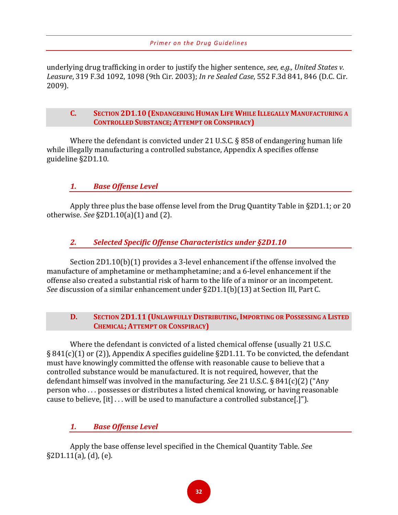underlying drug trafficking in order to justify the higher sentence, *see, e.g., United States v. Leasure*, 319 F.3d 1092, 1098 (9th Cir. 2003); *In re Sealed Case*, 552 F.3d 841, 846 (D.C. Cir. 2009).

#### **C. SECTION 2D1.10 (ENDANGERING HUMAN LIFE WHILE ILLEGALLY MANUFACTURING A CONTROLLED SUBSTANCE; ATTEMPT OR CONSPIRACY)**

Where the defendant is convicted under 21 U.S.C. § 858 of endangering human life while illegally manufacturing a controlled substance, Appendix A specifies offense guideline §2D1.10.

# *1. Base Offense Level*

Apply three plus the base offense level from the Drug Quantity Table in §2D1.1; or 20 otherwise. *See* §2D1.10(a)(1) and (2).

# *2. Selected Specific Offense Characteristics under §2D1.10*

Section 2D1.10(b)(1) provides a 3-level enhancement if the offense involved the manufacture of amphetamine or methamphetamine; and a 6-level enhancement if the offense also created a substantial risk of harm to the life of a minor or an incompetent. *See* discussion of a similar enhancement under §2D1.1(b)(13) at Section III, Part C.

#### **D. SECTION 2D1.11 (UNLAWFULLY DISTRIBUTING,IMPORTING OR POSSESSING A LISTED CHEMICAL; ATTEMPT OR CONSPIRACY)**

Where the defendant is convicted of a listed chemical offense (usually 21 U.S.C. § 841(c)(1) or (2)), Appendix A specifies guideline §2D1.11. To be convicted, the defendant must have knowingly committed the offense with reasonable cause to believe that a controlled substance would be manufactured. It is not required, however, that the defendant himself was involved in the manufacturing. *See* 21 U.S.C. § 841(c)(2) ("Any person who . . . possesses or distributes a listed chemical knowing, or having reasonable cause to believe, [it] . . . will be used to manufacture a controlled substance[.]").

# *1. Base Offense Level*

Apply the base offense level specified in the Chemical Quantity Table. *See* §2D1.11(a), (d), (e).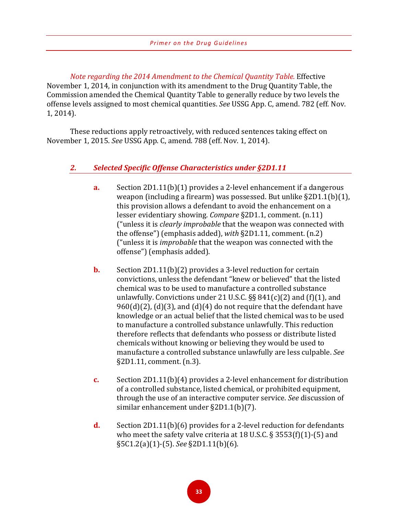*Note regarding the 2014 Amendment to the Chemical Quantity Table.* Effective November 1, 2014, in conjunction with its amendment to the Drug Quantity Table, the Commission amended the Chemical Quantity Table to generally reduce by two levels the offense levels assigned to most chemical quantities. *See* USSG App. C, amend. 782 (eff. Nov. 1, 2014).

These reductions apply retroactively, with reduced sentences taking effect on November 1, 2015. *See* USSG App. C, amend. 788 (eff. Nov. 1, 2014).

# *2. Selected Specific Offense Characteristics under §2D1.11*

- **a.** Section 2D1.11(b)(1) provides a 2-level enhancement if a dangerous weapon (including a firearm) was possessed. But unlike §2D1.1(b)(1), this provision allows a defendant to avoid the enhancement on a lesser evidentiary showing. *Compare* §2D1.1, comment. (n.11) ("unless it is *clearly improbable* that the weapon was connected with the offense") (emphasis added), *with* §2D1.11, comment. (n.2) ("unless it is *improbable* that the weapon was connected with the offense") (emphasis added).
- **b.** Section 2D1.11(b)(2) provides a 3-level reduction for certain convictions, unless the defendant "knew or believed" that the listed chemical was to be used to manufacture a controlled substance unlawfully. Convictions under 21 U.S.C.  $\S$ § 841(c)(2) and (f)(1), and  $960(d)(2)$ , (d)(3), and (d)(4) do not require that the defendant have knowledge or an actual belief that the listed chemical was to be used to manufacture a controlled substance unlawfully. This reduction therefore reflects that defendants who possess or distribute listed chemicals without knowing or believing they would be used to manufacture a controlled substance unlawfully are less culpable. *See* §2D1.11, comment. (n.3).
- **c.** Section 2D1.11(b)(4) provides a 2-level enhancement for distribution of a controlled substance, listed chemical, or prohibited equipment, through the use of an interactive computer service. *See* discussion of similar enhancement under §2D1.1(b)(7).
- **d.** Section 2D1.11(b)(6) provides for a 2-level reduction for defendants who meet the safety valve criteria at 18 U.S.C. § 3553(f)(1)-(5) and §5C1.2(a)(1)-(5). *See* §2D1.11(b)(6).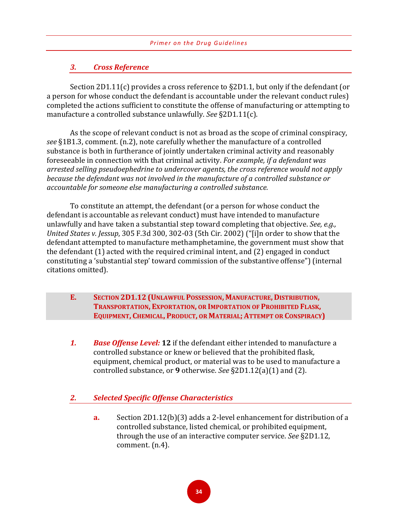# *3. Cross Reference*

Section 2D1.11(c) provides a cross reference to §2D1.1, but only if the defendant (or a person for whose conduct the defendant is accountable under the relevant conduct rules) completed the actions sufficient to constitute the offense of manufacturing or attempting to manufacture a controlled substance unlawfully. *See* §2D1.11(c).

As the scope of relevant conduct is not as broad as the scope of criminal conspiracy, *see* §1B1.3, comment. (n.2), note carefully whether the manufacture of a controlled substance is both in furtherance of jointly undertaken criminal activity and reasonably foreseeable in connection with that criminal activity. *For example, if a defendant was arrested selling pseudoephedrine to undercover agents, the cross reference would not apply because the defendant was not involved in the manufacture of a controlled substance or accountable for someone else manufacturing a controlled substance.*

To constitute an attempt, the defendant (or a person for whose conduct the defendant is accountable as relevant conduct) must have intended to manufacture unlawfully and have taken a substantial step toward completing that objective. *See, e.g., United States v. Jessup*, 305 F.3d 300, 302-03 (5th Cir. 2002) ("[i]n order to show that the defendant attempted to manufacture methamphetamine, the government must show that the defendant (1) acted with the required criminal intent, and (2) engaged in conduct constituting a 'substantial step' toward commission of the substantive offense") (internal citations omitted).

- **E. SECTION 2D1.12 (UNLAWFUL POSSESSION, MANUFACTURE, DISTRIBUTION, TRANSPORTATION, EXPORTATION, OR IMPORTATION OF PROHIBITED FLASK, EQUIPMENT, CHEMICAL, PRODUCT, OR MATERIAL; ATTEMPT OR CONSPIRACY)**
- *1. Base Offense Level:* **12** if the defendant either intended to manufacture a controlled substance or knew or believed that the prohibited flask, equipment, chemical product, or material was to be used to manufacture a controlled substance, or **9** otherwise. *See* §2D1.12(a)(1) and (2).

# *2. Selected Specific Offense Characteristics*

**a.** Section 2D1.12(b)(3) adds a 2-level enhancement for distribution of a controlled substance, listed chemical, or prohibited equipment, through the use of an interactive computer service. *See* §2D1.12, comment. (n.4).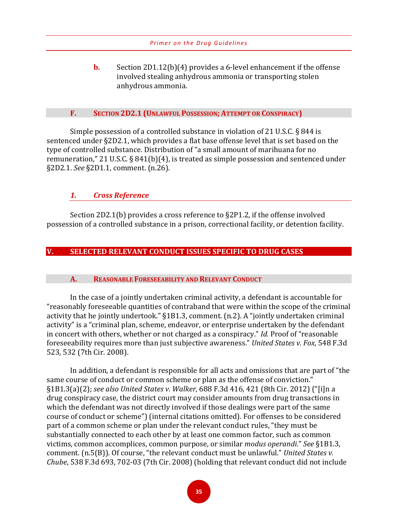**b.** Section 2D1.12(b)(4) provides a 6-level enhancement if the offense involved stealing anhydrous ammonia or transporting stolen anhydrous ammonia.

#### **F. SECTION 2D2.1 (UNLAWFUL POSSESSION; ATTEMPT OR CONSPIRACY)**

Simple possession of a controlled substance in violation of 21 U.S.C. § 844 is sentenced under §2D2.1, which provides a flat base offense level that is set based on the type of controlled substance. Distribution of "a small amount of marihuana for no remuneration," 21 U.S.C. § 841(b)(4), is treated as simple possession and sentenced under §2D2.1. *See* §2D1.1, comment. (n.26).

#### *1. Cross Reference*

Section 2D2.1(b) provides a cross reference to §2P1.2, if the offense involved possession of a controlled substance in a prison, correctional facility, or detention facility.

#### **V. SELECTED RELEVANT CONDUCT ISSUES SPECIFIC TO DRUG CASES**

#### **A. REASONABLE FORESEEABILITY AND RELEVANT CONDUCT**

In the case of a jointly undertaken criminal activity, a defendant is accountable for "reasonably foreseeable quantities of contraband that were within the scope of the criminal activity that he jointly undertook." §1B1.3, comment. (n.2). A "jointly undertaken criminal activity" is a "criminal plan, scheme, endeavor, or enterprise undertaken by the defendant in concert with others, whether or not charged as a conspiracy." *Id.* Proof of "reasonable foreseeability requires more than just subjective awareness." *United States v. Fox*, 548 F.3d 523, 532 (7th Cir. 2008).

In addition, a defendant is responsible for all acts and omissions that are part of "the same course of conduct or common scheme or plan as the offense of conviction." §1B1.3(a)(2); *see also United States v. Walker*, 688 F.3d 416, 421 (8th Cir. 2012) ("[i]n a drug conspiracy case, the district court may consider amounts from drug transactions in which the defendant was not directly involved if those dealings were part of the same course of conduct or scheme") (internal citations omitted). For offenses to be considered part of a common scheme or plan under the relevant conduct rules, "they must be substantially connected to each other by at least one common factor, such as common victims, common accomplices, common purpose, or similar *modus operandi*." *See* §1B1.3, comment. (n.5(B)). Of course, "the relevant conduct must be unlawful." *United States v. Chube*, 538 F.3d 693, 702-03 (7th Cir. 2008) (holding that relevant conduct did not include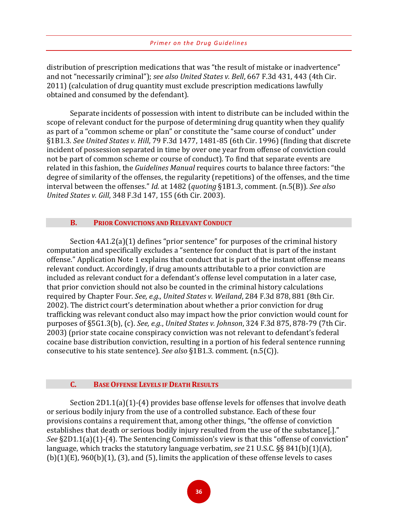distribution of prescription medications that was "the result of mistake or inadvertence" and not "necessarily criminal"); *see also United States v. Bell*, 667 F.3d 431, 443 (4th Cir. 2011) (calculation of drug quantity must exclude prescription medications lawfully obtained and consumed by the defendant).

Separate incidents of possession with intent to distribute can be included within the scope of relevant conduct for the purpose of determining drug quantity when they qualify as part of a "common scheme or plan" or constitute the "same course of conduct" under §1B1.3. *See United States v. Hill*, 79 F.3d 1477, 1481-85 (6th Cir. 1996) (finding that discrete incident of possession separated in time by over one year from offense of conviction could not be part of common scheme or course of conduct). To find that separate events are related in this fashion, the *Guidelines Manual* requires courts to balance three factors: "the degree of similarity of the offenses, the regularity (repetitions) of the offenses, and the time interval between the offenses." *Id.* at 1482 (*quoting* §1B1.3, comment. (n.5(B)). *See also United States v. Gill*, 348 F.3d 147, 155 (6th Cir. 2003).

#### **B. PRIOR CONVICTIONS AND RELEVANT CONDUCT**

Section 4A1.2(a)(1) defines "prior sentence" for purposes of the criminal history computation and specifically excludes a "sentence for conduct that is part of the instant offense." Application Note 1 explains that conduct that is part of the instant offense means relevant conduct. Accordingly, if drug amounts attributable to a prior conviction are included as relevant conduct for a defendant's offense level computation in a later case, that prior conviction should not also be counted in the criminal history calculations required by Chapter Four. *See, e.g.*, *United States v. Weiland*, 284 F.3d 878, 881 (8th Cir. 2002). The district court's determination about whether a prior conviction for drug trafficking was relevant conduct also may impact how the prior conviction would count for purposes of §5G1.3(b), (c). *See, e.g.*, *United States v. Johnson*, 324 F.3d 875, 878-79 (7th Cir. 2003) (prior state cocaine conspiracy conviction was not relevant to defendant's federal cocaine base distribution conviction, resulting in a portion of his federal sentence running consecutive to his state sentence). *See also* §1B1.3. comment. (n.5(C)).

#### **C. BASE OFFENSE LEVELS IF DEATH RESULTS**

Section 2D1.1(a)(1)-(4) provides base offense levels for offenses that involve death or serious bodily injury from the use of a controlled substance. Each of these four provisions contains a requirement that, among other things, "the offense of conviction establishes that death or serious bodily injury resulted from the use of the substance[.]." *See* §2D1.1(a)(1)-(4). The Sentencing Commission's view is that this "offense of conviction" language, which tracks the statutory language verbatim, *see* 21 U.S.C. §§ 841(b)(1)(A),  $(b)(1)(E)$ , 960 $(b)(1)$ ,  $(3)$ , and  $(5)$ , limits the application of these offense levels to cases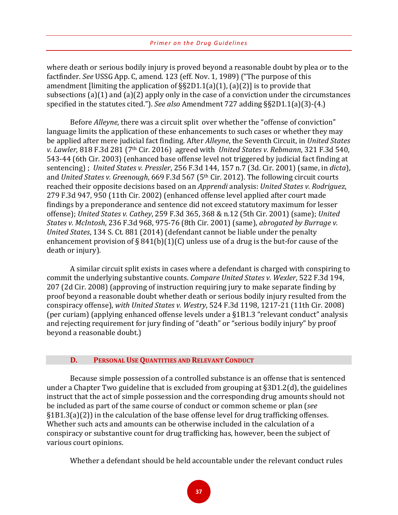where death or serious bodily injury is proved beyond a reasonable doubt by plea or to the factfinder. *See* USSG App. C, amend. 123 (eff. Nov. 1, 1989) ("The purpose of this amendment [limiting the application of §§2D1.1(a)(1), (a)(2)] is to provide that subsections (a)(1) and (a)(2) apply only in the case of a conviction under the circumstances specified in the statutes cited."). *See also* Amendment 727 adding §§2D1.1(a)(3)-(4.)

Before *Alleyne*, there was a circuit split over whether the "offense of conviction" language limits the application of these enhancements to such cases or whether they may be applied after mere judicial fact finding. After *Alleyne*, the Seventh Circuit, in *United States v. Lawler,* 818 F.3d 281 (7th Cir. 2016) agreed with *United States v. Rebmann*, 321 F.3d 540, 543-44 (6th Cir. 2003) (enhanced base offense level not triggered by judicial fact finding at sentencing) ; *United States v. Pressler*, 256 F.3d 144, 157 n.7 (3d. Cir. 2001) (same, in *dicta*), and *United States v. Greenough*, 669 F.3d 567 (5th Cir. 2012). The following circuit courts reached their opposite decisions based on an *Apprendi* analysis: *United States v. Rodriguez*, 279 F.3d 947, 950 (11th Cir. 2002) (enhanced offense level applied after court made findings by a preponderance and sentence did not exceed statutory maximum for lesser offense); *United States v. Cathey*, 259 F.3d 365, 368 & n.12 (5th Cir. 2001) (same); *United States v. McIntosh*, 236 F.3d 968, 975-76 (8th Cir. 2001) (same), *abrogated by Burrage v. United States*, 134 S. Ct. 881 (2014) (defendant cannot be liable under the penalty enhancement provision of  $\S 841(b)(1)(C)$  unless use of a drug is the but-for cause of the death or injury).

A similar circuit split exists in cases where a defendant is charged with conspiring to commit the underlying substantive counts. *Compare United States v. Wexler*, 522 F.3d 194, 207 (2d Cir. 2008) (approving of instruction requiring jury to make separate finding by proof beyond a reasonable doubt whether death or serious bodily injury resulted from the conspiracy offense), *with United States v. Westry*, 524 F.3d 1198, 1217-21 (11th Cir. 2008) (per curiam) (applying enhanced offense levels under a §1B1.3 "relevant conduct" analysis and rejecting requirement for jury finding of "death" or "serious bodily injury" by proof beyond a reasonable doubt.)

#### **D. PERSONAL USE QUANTITIES AND RELEVANT CONDUCT**

Because simple possession of a controlled substance is an offense that is sentenced under a Chapter Two guideline that is excluded from grouping at §3D1.2(d), the guidelines instruct that the act of simple possession and the corresponding drug amounts should not be included as part of the same course of conduct or common scheme or plan (*see* §1B1.3(a)(2)) in the calculation of the base offense level for drug trafficking offenses. Whether such acts and amounts can be otherwise included in the calculation of a conspiracy or substantive count for drug trafficking has, however, been the subject of various court opinions.

Whether a defendant should be held accountable under the relevant conduct rules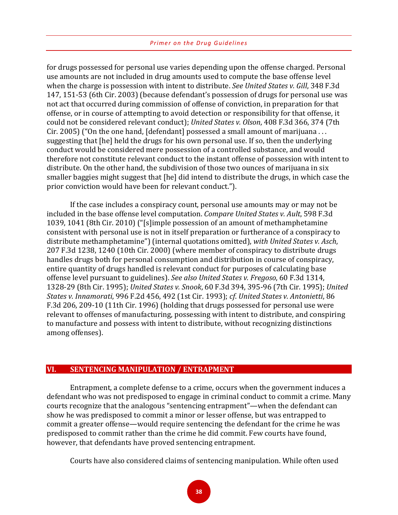for drugs possessed for personal use varies depending upon the offense charged. Personal use amounts are not included in drug amounts used to compute the base offense level when the charge is possession with intent to distribute. *See United States v. Gill*, 348 F.3d 147, 151-53 (6th Cir. 2003) (because defendant's possession of drugs for personal use was not act that occurred during commission of offense of conviction, in preparation for that offense, or in course of attempting to avoid detection or responsibility for that offense, it could not be considered relevant conduct); *United States v. Olson*, 408 F.3d 366, 374 (7th Cir. 2005) ("On the one hand, [defendant] possessed a small amount of marijuana . . . suggesting that [he] held the drugs for his own personal use. If so, then the underlying conduct would be considered mere possession of a controlled substance, and would therefore not constitute relevant conduct to the instant offense of possession with intent to distribute. On the other hand, the subdivision of those two ounces of marijuana in six smaller baggies might suggest that [he] did intend to distribute the drugs, in which case the prior conviction would have been for relevant conduct.").

If the case includes a conspiracy count, personal use amounts may or may not be included in the base offense level computation. *Compare United States v. Ault*, 598 F.3d 1039, 1041 (8th Cir. 2010) ("[s]imple possession of an amount of methamphetamine consistent with personal use is not in itself preparation or furtherance of a conspiracy to distribute methamphetamine") (internal quotations omitted), *with United States v. Asch*, 207 F.3d 1238, 1240 (10th Cir. 2000) (where member of conspiracy to distribute drugs handles drugs both for personal consumption and distribution in course of conspiracy, entire quantity of drugs handled is relevant conduct for purposes of calculating base offense level pursuant to guidelines). *See also United States v. Fregoso*, 60 F.3d 1314, 1328-29 (8th Cir. 1995); *United States v. Snook*, 60 F.3d 394, 395-96 (7th Cir. 1995); *United States v. Innamorati*, 996 F.2d 456, 492 (1st Cir. 1993); *cf*. *United States v. Antonietti*, 86 F.3d 206, 209-10 (11th Cir. 1996) (holding that drugs possessed for personal use were relevant to offenses of manufacturing, possessing with intent to distribute, and conspiring to manufacture and possess with intent to distribute, without recognizing distinctions among offenses).

#### **VI. SENTENCING MANIPULATION / ENTRAPMENT**

Entrapment, a complete defense to a crime, occurs when the government induces a defendant who was not predisposed to engage in criminal conduct to commit a crime. Many courts recognize that the analogous "sentencing entrapment"—when the defendant can show he was predisposed to commit a minor or lesser offense, but was entrapped to commit a greater offense—would require sentencing the defendant for the crime he was predisposed to commit rather than the crime he did commit. Few courts have found, however, that defendants have proved sentencing entrapment.

Courts have also considered claims of sentencing manipulation. While often used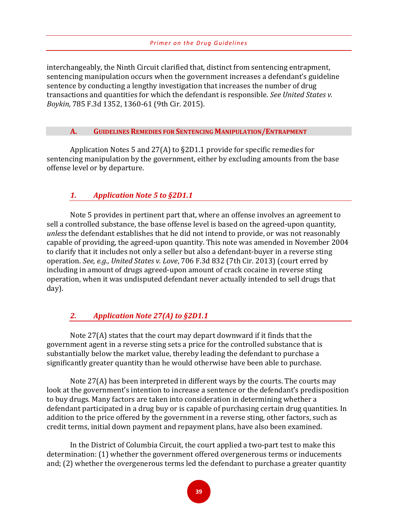interchangeably, the Ninth Circuit clarified that, distinct from sentencing entrapment, sentencing manipulation occurs when the government increases a defendant's guideline sentence by conducting a lengthy investigation that increases the number of drug transactions and quantities for which the defendant is responsible. *See United States v. Boykin*, 785 F.3d 1352, 1360-61 (9th Cir. 2015).

#### **A. GUIDELINES REMEDIES FOR SENTENCING MANIPULATION/ENTRAPMENT**

Application Notes 5 and 27(A) to §2D1.1 provide for specific remedies for sentencing manipulation by the government, either by excluding amounts from the base offense level or by departure.

# *1. Application Note 5 to §2D1.1*

Note 5 provides in pertinent part that, where an offense involves an agreement to sell a controlled substance, the base offense level is based on the agreed-upon quantity, *unless* the defendant establishes that he did not intend to provide, or was not reasonably capable of providing, the agreed-upon quantity. This note was amended in November 2004 to clarify that it includes not only a seller but also a defendant-buyer in a reverse sting operation. *See, e.g.*, *United States v. Love*, 706 F.3d 832 (7th Cir. 2013) (court erred by including in amount of drugs agreed-upon amount of crack cocaine in reverse sting operation, when it was undisputed defendant never actually intended to sell drugs that day).

# *2. Application Note 27(A) to §2D1.1*

Note 27(A) states that the court may depart downward if it finds that the government agent in a reverse sting sets a price for the controlled substance that is substantially below the market value, thereby leading the defendant to purchase a significantly greater quantity than he would otherwise have been able to purchase.

Note 27(A) has been interpreted in different ways by the courts. The courts may look at the government's intention to increase a sentence or the defendant's predisposition to buy drugs. Many factors are taken into consideration in determining whether a defendant participated in a drug buy or is capable of purchasing certain drug quantities. In addition to the price offered by the government in a reverse sting, other factors, such as credit terms, initial down payment and repayment plans, have also been examined.

In the District of Columbia Circuit, the court applied a two-part test to make this determination: (1) whether the government offered overgenerous terms or inducements and; (2) whether the overgenerous terms led the defendant to purchase a greater quantity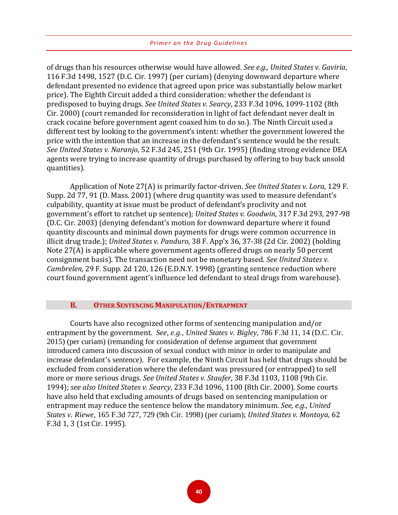of drugs than his resources otherwise would have allowed. *See e.g., United States v. Gaviria*, 116 F.3d 1498, 1527 (D.C. Cir. 1997) (per curiam) (denying downward departure where defendant presented no evidence that agreed upon price was substantially below market price). The Eighth Circuit added a third consideration: whether the defendant is predisposed to buying drugs. *See United States v. Searcy*, 233 F.3d 1096, 1099-1102 (8th Cir. 2000) (court remanded for reconsideration in light of fact defendant never dealt in crack cocaine before government agent coaxed him to do so.). The Ninth Circuit used a different test by looking to the government's intent: whether the government lowered the price with the intention that an increase in the defendant's sentence would be the result. *See United States v. Naranjo*, 52 F.3d 245, 251 (9th Cir. 1995) (finding strong evidence DEA agents were trying to increase quantity of drugs purchased by offering to buy back unsold quantities).

Application of Note 27(A) is primarily factor-driven. *See United States v. Lora*, 129 F. Supp. 2d 77, 91 (D. Mass. 2001) (where drug quantity was used to measure defendant's culpability, quantity at issue must be product of defendant's proclivity and not government's effort to ratchet up sentence); *United States v. Goodwin*, 317 F.3d 293, 297-98 (D.C. Cir. 2003) (denying defendant's motion for downward departure where it found quantity discounts and minimal down payments for drugs were common occurrence in illicit drug trade.); *United States v. Panduro*, 38 F. App'x 36, 37-38 (2d Cir. 2002) (holding Note 27(A) is applicable where government agents offered drugs on nearly 50 percent consignment basis). The transaction need not be monetary based. *See United States v. Cambrelen*, 29 F. Supp. 2d 120, 126 (E.D.N.Y. 1998) (granting sentence reduction where court found government agent's influence led defendant to steal drugs from warehouse).

#### **B. OTHER SENTENCING MANIPULATION/ENTRAPMENT**

Courts have also recognized other forms of sentencing manipulation and/or entrapment by the government. *See, e.g., United States v. Bigley,* 786 F.3d 11, 14 (D.C. Cir. 2015) (per curiam) (remanding for consideration of defense argument that government introduced camera into discussion of sexual conduct with minor in order to manipulate and increase defendant's sentence). For example, the Ninth Circuit has held that drugs should be excluded from consideration where the defendant was pressured (or entrapped) to sell more or more serious drugs. *See United States v. Staufer*, 38 F.3d 1103, 1108 (9th Cir. 1994); *see also United States v. Searcy*, 233 F.3d 1096, 1100 (8th Cir. 2000). Some courts have also held that excluding amounts of drugs based on sentencing manipulation or entrapment may reduce the sentence below the mandatory minimum. *See, e.g.*, *United States v. Riewe*, 165 F.3d 727, 729 (9th Cir. 1998) (per curiam); *United States v. Montoya*, 62 F.3d 1, 3 (1st Cir. 1995).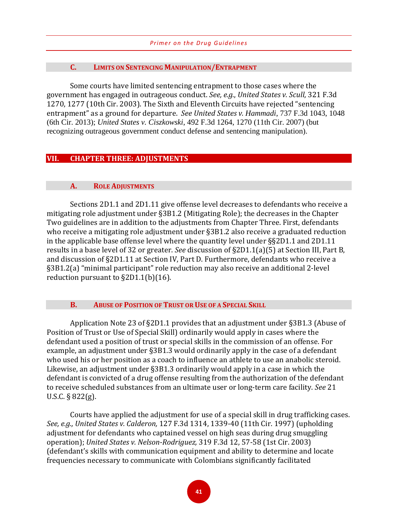#### **C. LIMITS ON SENTENCING MANIPULATION/ENTRAPMENT**

Some courts have limited sentencing entrapment to those cases where the government has engaged in outrageous conduct. *See, e.g.*, *United States v. Scull*, 321 F.3d 1270, 1277 (10th Cir. 2003). The Sixth and Eleventh Circuits have rejected "sentencing entrapment" as a ground for departure. *See United States v. Hammadi*, 737 F.3d 1043, 1048 (6th Cir. 2013); *United States v. Ciszkowski*, 492 F.3d 1264, 1270 (11th Cir. 2007) (but recognizing outrageous government conduct defense and sentencing manipulation).

#### **VII. CHAPTER THREE: ADJUSTMENTS**

#### **A. ROLE ADJUSTMENTS**

Sections 2D1.1 and 2D1.11 give offense level decreases to defendants who receive a mitigating role adjustment under §3B1.2 (Mitigating Role); the decreases in the Chapter Two guidelines are in addition to the adjustments from Chapter Three. First, defendants who receive a mitigating role adjustment under §3B1.2 also receive a graduated reduction in the applicable base offense level where the quantity level under §§2D1.1 and 2D1.11 results in a base level of 32 or greater. *See* discussion of §2D1.1(a)(5) at Section III, Part B, and discussion of §2D1.11 at Section IV, Part D. Furthermore, defendants who receive a §3B1.2(a) "minimal participant" role reduction may also receive an additional 2-level reduction pursuant to §2D1.1(b)(16).

#### **B. ABUSE OF POSITION OF TRUST OR USE OF A SPECIAL SKILL**

Application Note 23 of §2D1.1 provides that an adjustment under §3B1.3 (Abuse of Position of Trust or Use of Special Skill) ordinarily would apply in cases where the defendant used a position of trust or special skills in the commission of an offense. For example, an adjustment under §3B1.3 would ordinarily apply in the case of a defendant who used his or her position as a coach to influence an athlete to use an anabolic steroid. Likewise, an adjustment under §3B1.3 ordinarily would apply in a case in which the defendant is convicted of a drug offense resulting from the authorization of the defendant to receive scheduled substances from an ultimate user or long-term care facility. *See* 21 U.S.C. § 822(g).

Courts have applied the adjustment for use of a special skill in drug trafficking cases. *See, e.g., United States v. Calderon,* 127 F.3d 1314, 1339-40 (11th Cir. 1997) (upholding adjustment for defendants who captained vessel on high seas during drug smuggling operation); *United States v. Nelson-Rodriguez,* 319 F.3d 12, 57-58 (1st Cir. 2003) (defendant's skills with communication equipment and ability to determine and locate frequencies necessary to communicate with Colombians significantly facilitated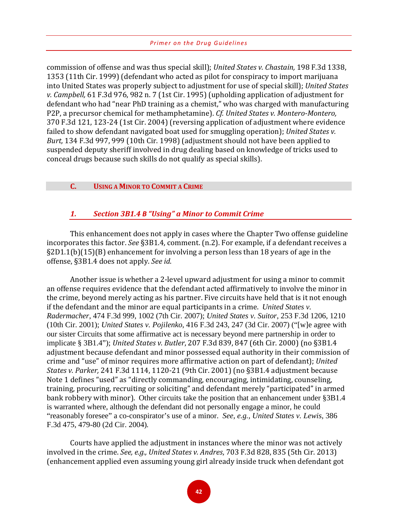commission of offense and was thus special skill); *United States v. Chastain,* 198 F.3d 1338, 1353 (11th Cir. 1999) (defendant who acted as pilot for conspiracy to import marijuana into United States was properly subject to adjustment for use of special skill); *United States v. Campbell,* 61 F.3d 976, 982 n. 7 (1st Cir. 1995) (upholding application of adjustment for defendant who had "near PhD training as a chemist," who was charged with manufacturing P2P, a precursor chemical for methamphetamine). *Cf. United States v. Montero-Montero,*  370 F.3d 121, 123-24 (1st Cir. 2004) (reversing application of adjustment where evidence failed to show defendant navigated boat used for smuggling operation); *United States v. Burt,* 134 F.3d 997, 999 (10th Cir. 1998) (adjustment should not have been applied to suspended deputy sheriff involved in drug dealing based on knowledge of tricks used to conceal drugs because such skills do not qualify as special skills).

#### **C. USING A MINOR TO COMMIT A CRIME**

#### *1. Section 3B1.4 B "Using" a Minor to Commit Crime*

This enhancement does not apply in cases where the Chapter Two offense guideline incorporates this factor. *See* §3B1.4, comment. (n.2). For example, if a defendant receives a §2D1.1(b)(15)(B) enhancement for involving a person less than 18 years of age in the offense, §3B1.4 does not apply. *See id*.

Another issue is whether a 2-level upward adjustment for using a minor to commit an offense requires evidence that the defendant acted affirmatively to involve the minor in the crime, beyond merely acting as his partner. Five circuits have held that is it not enough if the defendant and the minor are equal participants in a crime. *United States v. Radermacher*, 474 F.3d 999, 1002 (7th Cir. 2007); *United States v. Suitor*, 253 F.3d 1206, 1210 (10th Cir. 2001); *United States v. Pojilenko*, 416 F.3d 243, 247 (3d Cir. 2007) ("[w]e agree with our sister Circuits that some affirmative act is necessary beyond mere partnership in order to implicate § 3B1.4"); *United States v. Butler*, 207 F.3d 839, 847 (6th Cir. 2000) (no §3B1.4 adjustment because defendant and minor possessed equal authority in their commission of crime and "use" of minor requires more affirmative action on part of defendant); *United States v. Parker,* 241 F.3d 1114, 1120-21 (9th Cir. 2001) (no §3B1.4 adjustment because Note 1 defines "used" as "directly commanding, encouraging, intimidating, counseling, training, procuring, recruiting or soliciting" and defendant merely "participated" in armed bank robbery with minor). Other circuits take the position that an enhancement under §3B1.4 is warranted where, although the defendant did not personally engage a minor, he could "reasonably foresee" a co-conspirator's use of a minor. *See, e.g., United States v. Lewis,* 386 F.3d 475, 479-80 (2d Cir. 2004)*.*

Courts have applied the adjustment in instances where the minor was not actively involved in the crime. *See, e.g., United States v. Andres*, 703 F.3d 828, 835 (5th Cir. 2013) (enhancement applied even assuming young girl already inside truck when defendant got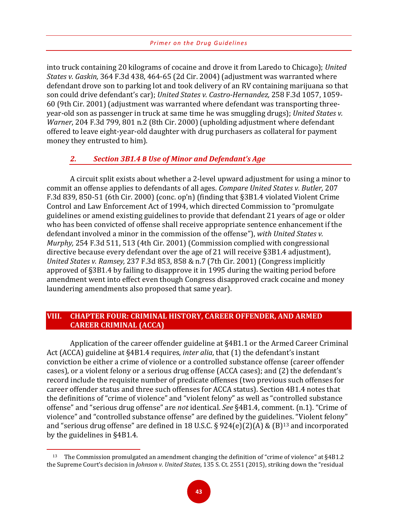into truck containing 20 kilograms of cocaine and drove it from Laredo to Chicago); *United States v. Gaskin,* 364 F.3d 438, 464-65 (2d Cir. 2004) (adjustment was warranted where defendant drove son to parking lot and took delivery of an RV containing marijuana so that son could drive defendant's car); *United States v. Castro-Hernandez,* 258 F.3d 1057, 1059- 60 (9th Cir. 2001) (adjustment was warranted where defendant was transporting threeyear-old son as passenger in truck at same time he was smuggling drugs); *United States v. Warner*, 204 F.3d 799, 801 n.2 (8th Cir. 2000) (upholding adjustment where defendant offered to leave eight-year-old daughter with drug purchasers as collateral for payment money they entrusted to him).

#### *2. Section 3B1.4 B Use of Minor and Defendant's Age*

A circuit split exists about whether a 2-level upward adjustment for using a minor to commit an offense applies to defendants of all ages. *Compare United States v. Butler,* 207 F.3d 839, 850-51 (6th Cir. 2000) (conc. op'n) (finding that §3B1.4 violated Violent Crime Control and Law Enforcement Act of 1994, which directed Commission to "promulgate guidelines or amend existing guidelines to provide that defendant 21 years of age or older who has been convicted of offense shall receive appropriate sentence enhancement if the defendant involved a minor in the commission of the offense"), *with United States v. Murphy,* 254 F.3d 511, 513 (4th Cir. 2001) (Commission complied with congressional directive because every defendant over the age of 21 will receive §3B1.4 adjustment), *United States v. Ramsey,* 237 F.3d 853, 858 & n.7 (7th Cir. 2001) (Congress implicitly approved of §3B1.4 by failing to disapprove it in 1995 during the waiting period before amendment went into effect even though Congress disapproved crack cocaine and money laundering amendments also proposed that same year).

#### **VIII. CHAPTER FOUR: CRIMINAL HISTORY, CAREER OFFENDER, AND ARMED CAREER CRIMINAL (ACCA)**

Application of the career offender guideline at §4B1.1 or the Armed Career Criminal Act (ACCA) guideline at §4B1.4 requires, *inter alia*, that (1) the defendant's instant conviction be either a crime of violence or a controlled substance offense (career offender cases), or a violent felony or a serious drug offense (ACCA cases); and (2) the defendant's record include the requisite number of predicate offenses (two previous such offenses for career offender status and three such offenses for ACCA status). Section 4B1.4 notes that the definitions of "crime of violence" and "violent felony" as well as "controlled substance offense" and "serious drug offense" are *not* identical. *See* §4B1.4, comment. (n.1). "Crime of violence" and "controlled substance offense" are defined by the guidelines. "Violent felony" and "serious drug offense" are defined in 18 U.S.C.  $\S 924(e)(2)(A) \& (B)^{13}$  $\S 924(e)(2)(A) \& (B)^{13}$  $\S 924(e)(2)(A) \& (B)^{13}$  and incorporated by the guidelines in §4B1.4.

 $\overline{a}$ 

<span id="page-46-0"></span><sup>&</sup>lt;sup>13</sup> The Commission promulgated an amendment changing the definition of "crime of violence" at  $\S4B1.2$ the Supreme Court's decision in *Johnson v. United States*, 135 S. Ct. 2551 (2015), striking down the "residual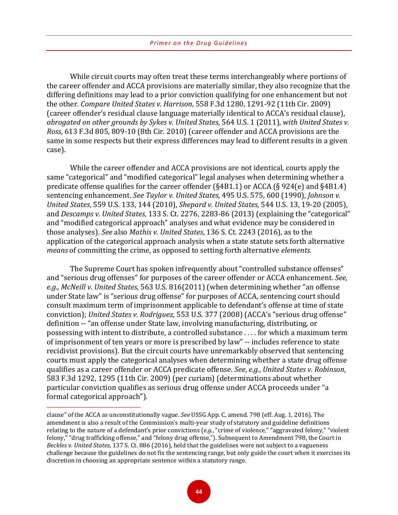While circuit courts may often treat these terms interchangeably where portions of the career offender and ACCA provisions are materially similar, they also recognize that the differing definitions may lead to a prior conviction qualifying for one enhancement but not the other. *Compare United States v. Harrison*, 558 F.3d 1280, 1291-92 (11th Cir. 2009) (career offender's residual clause language materially identical to ACCA's residual clause), *abrogated on other grounds by Sykes v. United States*, 564 U.S. 1 (2011), *with United States v. Ross*, 613 F.3d 805, 809-10 (8th Cir. 2010) (career offender and ACCA provisions are the same in some respects but their express differences may lead to different results in a given case).

While the career offender and ACCA provisions are not identical, courts apply the same "categorical" and "modified categorical" legal analyses when determining whether a predicate offense qualifies for the career offender (§4B1.1) or ACCA (§ 924(e) and §4B1.4) sentencing enhancement. *See Taylor v. United States,* 495 U.S. 575, 600 (1990), *Johnson v. United States*, 559 U.S. 133, 144 (2010), *Shepard v. United States,* 544 U.S. 13, 19-20 (2005), and *Descamps v. United States*, 133 S. Ct. 2276, 2283-86 (2013) (explaining the "categorical" and "modified categorical approach" analyses and what evidence may be considered in those analyses). *See* also *Mathis v. United States*, 136 S. Ct. 2243 (2016), as to the application of the categorical approach analysis when a state statute sets forth alternative *means* of committing the crime, as opposed to setting forth alternative *elements.*

The Supreme Court has spoken infrequently about "controlled substance offenses" and "serious drug offenses" for purposes of the career offender or ACCA enhancement. *See, e*.*g*., *McNeill v. United States*, 563 U.S. 816(2011) (when determining whether "an offense under State law" is "serious drug offense" for purposes of ACCA, sentencing court should consult maximum term of imprisonment applicable to defendant's offense at time of state conviction); *United States v. Rodriguez*, 553 U.S. 377 (2008) (ACCA's "serious drug offense" definition -- "an offense under State law, involving manufacturing, distributing, or possessing with intent to distribute, a controlled substance . . . . for which a maximum term of imprisonment of ten years or more is prescribed by law" -- includes reference to state recidivist provisions). But the circuit courts have unremarkably observed that sentencing courts must apply the categorical analyses when determining whether a state drug offense qualifies as a career offender or ACCA predicate offense. *See*, *e.g.*, *United States v. Robinson*, 583 F.3d 1292, 1295 (11th Cir. 2009) (per curiam) (determinations about whether particular conviction qualifies as serious drug offense under ACCA proceeds under "a formal categorical approach").

 $\overline{a}$ 

clause" of the ACCA as unconstitutionally vague. *See* USSG App. C, amend. 798 (eff. Aug. 1, 2016). The amendment is also a result of the Commission's multi-year study of statutory and guideline definitions relating to the nature of a defendant's prior convictions (*e.g.*, "crime of violence," "aggravated felony," "violent felony," "drug trafficking offense," and "felony drug offense,"). Subsequent to Amendment 798, the Court in *Beckles v. United States*, 137 S. Ct. 886 (2016), held that the guidelines were not subject to a vagueness challenge because the guidelines do not fix the sentencing range, but only guide the court when it exercises its discretion in choosing an appropriate sentence within a statutory range.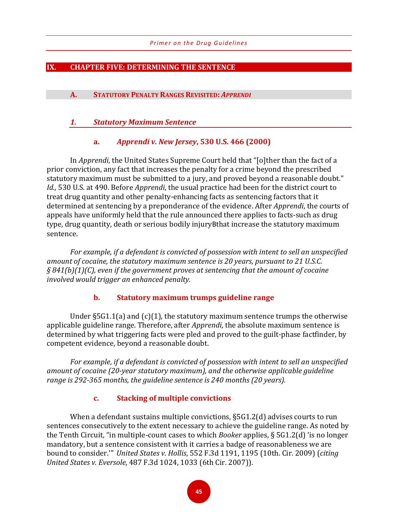#### **IX. CHAPTER FIVE: DETERMINING THE SENTENCE**

#### **A. STATUTORY PENALTY RANGES REVISITED:** *APPRENDI*

#### *1. Statutory Maximum Sentence*

#### **a.** *Apprendi v. New Jersey***, 530 U.S. 466 (2000)**

In *Apprendi*, the United States Supreme Court held that "[o]ther than the fact of a prior conviction, any fact that increases the penalty for a crime beyond the prescribed statutory maximum must be submitted to a jury, and proved beyond a reasonable doubt." *Id.,* 530 U.S. at 490. Before *Apprendi*, the usual practice had been for the district court to treat drug quantity and other penalty-enhancing facts as sentencing factors that it determined at sentencing by a preponderance of the evidence. After *Apprendi*, the courts of appeals have uniformly held that the rule announced there applies to facts-such as drug type, drug quantity, death or serious bodily injuryBthat increase the statutory maximum sentence.

*For example, if a defendant is convicted of possession with intent to sell an unspecified amount of cocaine, the statutory maximum sentence is 20 years, pursuant to 21 U.S.C. § 841(b)(1)(C), even if the government proves at sentencing that the amount of cocaine involved would trigger an enhanced penalty.*

## **b. Statutory maximum trumps guideline range**

Under  $\S 5G1.1(a)$  and  $(c)(1)$ , the statutory maximum sentence trumps the otherwise applicable guideline range. Therefore, after *Apprendi*, the absolute maximum sentence is determined by what triggering facts were pled and proved to the guilt-phase factfinder, by competent evidence, beyond a reasonable doubt.

*For example*, *if a defendant is convicted of possession with intent to sell an unspecified amount of cocaine (20-year statutory maximum), and the otherwise applicable guideline range is 292-365 months, the guideline sentence is 240 months (20 years).*

#### **c. Stacking of multiple convictions**

When a defendant sustains multiple convictions, §5G1.2(d) advises courts to run sentences consecutively to the extent necessary to achieve the guideline range. As noted by the Tenth Circuit, "in multiple-count cases to which *Booker* applies, § 5G1.2(d) 'is no longer mandatory, but a sentence consistent with it carries a badge of reasonableness we are bound to consider.'" *United States v. Hollis*, 552 F.3d 1191, 1195 (10th. Cir. 2009) (*citing United States v. Eversole*, 487 F.3d 1024, 1033 (6th Cir. 2007)).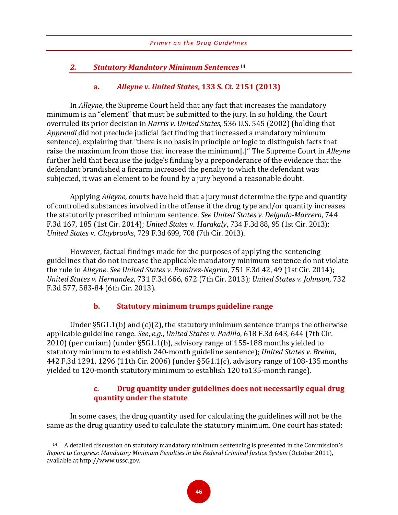# *2. Statutory Mandatory Minimum Sentences* [14](#page-49-0)

# **a.** *Alleyne v. United States***, 133 S. Ct. 2151 (2013)**

In *Alleyne*, the Supreme Court held that any fact that increases the mandatory minimum is an "element" that must be submitted to the jury. In so holding, the Court overruled its prior decision in *Harris v. United States*, 536 U.S. 545 (2002) (holding that *Apprendi* did not preclude judicial fact finding that increased a mandatory minimum sentence), explaining that "there is no basis in principle or logic to distinguish facts that raise the maximum from those that increase the minimum[.]" The Supreme Court in *Alleyne*  further held that because the judge's finding by a preponderance of the evidence that the defendant brandished a firearm increased the penalty to which the defendant was subjected, it was an element to be found by a jury beyond a reasonable doubt.

Applying *Alleyne,* courts have held that a jury must determine the type and quantity of controlled substances involved in the offense if the drug type and/or quantity increases the statutorily prescribed minimum sentence. *See United States v. Delgado-Marrero*, 744 F.3d 167, 185 (1st Cir. 2014); *United States v. Harakaly*, 734 F.3d 88, 95 (1st Cir. 2013); *United States v. Claybrooks*, 729 F.3d 699, 708 (7th Cir. 2013).

However, factual findings made for the purposes of applying the sentencing guidelines that do not increase the applicable mandatory minimum sentence do not violate the rule in *Alleyne*. *See United States v. Ramirez-Negron*, 751 F.3d 42, 49 (1st Cir. 2014); *United States v. Hernandez*, 731 F.3d 666, 672 (7th Cir. 2013); *United States v. Johnson*, 732 F.3d 577, 583-84 (6th Cir. 2013).

# **b. Statutory minimum trumps guideline range**

Under §5G1.1(b) and (c)(2), the statutory minimum sentence trumps the otherwise applicable guideline range. *See*, *e.g.*, *United States v. Padilla*, 618 F.3d 643, 644 (7th Cir. 2010) (per curiam) (under §5G1.1(b), advisory range of 155-188 months yielded to statutory minimum to establish 240-month guideline sentence); *United States v. Brehm*, 442 F.3d 1291, 1296 (11th Cir. 2006) (under §5G1.1(c), advisory range of 108-135 months yielded to 120-month statutory minimum to establish 120 to135-month range).

# **c. Drug quantity under guidelines does not necessarily equal drug quantity under the statute**

In some cases, the drug quantity used for calculating the guidelines will not be the same as the drug quantity used to calculate the statutory minimum. One court has stated:

<span id="page-49-0"></span> $\overline{a}$ <sup>14</sup> A detailed discussion on statutory mandatory minimum sentencing is presented in the Commission's *Report to Congress: Mandatory Minimum Penalties in the Federal Criminal Justice System* (October 2011), available at http://www.ussc.gov.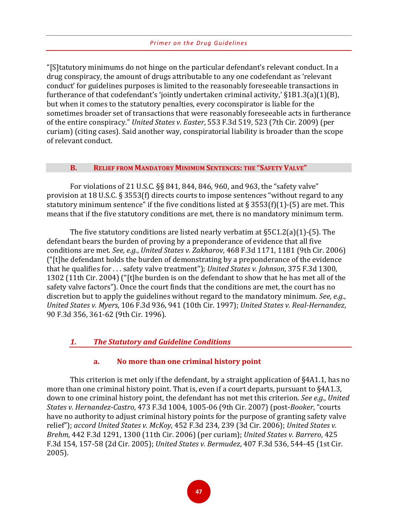"[S]tatutory minimums do not hinge on the particular defendant's relevant conduct. In a drug conspiracy, the amount of drugs attributable to any one codefendant as 'relevant conduct' for guidelines purposes is limited to the reasonably foreseeable transactions in furtherance of that codefendant's 'jointly undertaken criminal activity,'  $\S 1B1.3(a)(1)(B)$ , but when it comes to the statutory penalties, every coconspirator is liable for the sometimes broader set of transactions that were reasonably foreseeable acts in furtherance of the entire conspiracy." *United States v. Easter*, 553 F.3d 519, 523 (7th Cir. 2009) (per curiam) (citing cases). Said another way, conspiratorial liability is broader than the scope of relevant conduct.

#### **B. RELIEF FROM MANDATORY MINIMUM SENTENCES: THE "SAFETY VALVE"**

For violations of 21 U.S.C. §§ 841, 844, 846, 960, and 963, the "safety valve" provision at 18 U.S.C. § 3553(f) directs courts to impose sentences "without regard to any statutory minimum sentence" if the five conditions listed at § 3553(f)(1)-(5) are met. This means that if the five statutory conditions are met, there is no mandatory minimum term.

The five statutory conditions are listed nearly verbatim at  $\S5C1.2(a)(1)$ -(5). The defendant bears the burden of proving by a preponderance of evidence that all five conditions are met. *See, e.g.*, *United States v. Zakharov*, 468 F.3d 1171, 1181 (9th Cir. 2006) ("[t]he defendant holds the burden of demonstrating by a preponderance of the evidence that he qualifies for . . . safety valve treatment"); *United States v. Johnson*, 375 F.3d 1300, 1302 (11th Cir. 2004) ("[t]he burden is on the defendant to show that he has met all of the safety valve factors"). Once the court finds that the conditions are met, the court has no discretion but to apply the guidelines without regard to the mandatory minimum. *See, e.g.*, *United States v. Myers*, 106 F.3d 936, 941 (10th Cir. 1997); *United States v. Real-Hernandez*, 90 F.3d 356, 361-62 (9th Cir. 1996).

# *1. The Statutory and Guideline Conditions*

# **a. No more than one criminal history point**

This criterion is met only if the defendant, by a straight application of §4A1.1, has no more than one criminal history point. That is, even if a court departs, pursuant to §4A1.3, down to one criminal history point, the defendant has not met this criterion. *See e.g.*, *United States v. Hernandez-Castro*, 473 F.3d 1004, 1005-06 (9th Cir. 2007) (post-*Booker*, "courts have no authority to adjust criminal history points for the purpose of granting safety valve relief"); *accord United States v. McKoy*, 452 F.3d 234, 239 (3d Cir. 2006); *United States v. Brehm*, 442 F.3d 1291, 1300 (11th Cir. 2006) (per curiam); *United States v. Barrero*, 425 F.3d 154, 157-58 (2d Cir. 2005); *United States v. Bermudez*, 407 F.3d 536, 544-45 (1st Cir. 2005).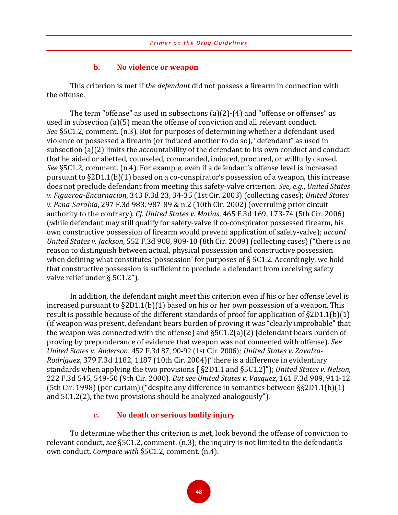#### **b. No violence or weapon**

This criterion is met if *the defendant* did not possess a firearm in connection with the offense.

The term "offense" as used in subsections (a)(2)-(4) and "offense or offenses" as used in subsection (a)(5) mean the offense of conviction and all relevant conduct. *See* §5C1.2, comment. (n.3). But for purposes of determining whether a defendant used violence or possessed a firearm (or induced another to do so), "defendant" as used in subsection (a)(2) limits the accountability of the defendant to his own conduct and conduct that he aided or abetted, counseled, commanded, induced, procured, or willfully caused. *See* §5C1.2, comment. (n.4). For example, even if a defendant's offense level is increased pursuant to §2D1.1(b)(1) based on a co-conspirator's possession of a weapon, this increase does not preclude defendant from meeting this safety-valve criterion. *See, e.g.*, *United States v. Figueroa-Encarnacion*, 343 F.3d 23, 34-35 (1st Cir. 2003) (collecting cases); *United States v. Pena-Sarabia*, 297 F.3d 983, 987-89 & n.2 (10th Cir. 2002) (overruling prior circuit authority to the contrary). *Cf*. *United States v. Matias*, 465 F.3d 169, 173-74 (5th Cir. 2006) (while defendant may still qualify for safety-valve if co-conspirator possessed firearm, his own constructive possession of firearm would prevent application of safety-valve); *accord United States v. Jackson*, 552 F.3d 908, 909-10 (8th Cir. 2009) (collecting cases) ("there is no reason to distinguish between actual, physical possession and constructive possession when defining what constitutes 'possession' for purposes of § 5C1.2. Accordingly, we hold that constructive possession is sufficient to preclude a defendant from receiving safety valve relief under § 5C1.2").

In addition, the defendant might meet this criterion even if his or her offense level is increased pursuant to §2D1.1(b)(1) based on his or her own possession of a weapon. This result is possible because of the different standards of proof for application of §2D1.1(b)(1) (if weapon was present, defendant bears burden of proving it was "clearly improbable" that the weapon was connected with the offense) and §5C1.2(a)(2) (defendant bears burden of proving by preponderance of evidence that weapon was not connected with offense). *See United States v. Anderson,* 452 F.3d 87, 90-92 (1st Cir. 2006)*; United States v. Zavalza-Rodriguez*, 379 F.3d 1182, 1187 (10th Cir. 2004)("there is a difference in evidentiary standards when applying the two provisions [ §2D1.1 and §5C1.2]"); *United States v. Nelson*, 222 F.3d 545, 549-50 (9th Cir. 2000). *But see United States v. Vasquez*, 161 F.3d 909, 911-12 (5th Cir. 1998) (per curiam) ("despite any difference in semantics between §§2D1.1(b)(1) and 5C1.2(2), the two provisions should be analyzed analogously").

#### **c. No death or serious bodily injury**

To determine whether this criterion is met, look beyond the offense of conviction to relevant conduct, *see* §5C1.2, comment. (n.3); the inquiry is not limited to the defendant's own conduct. *Compare with* §5C1.2, comment. (n.4).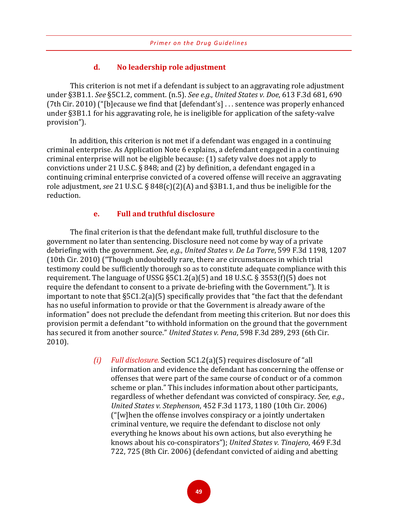#### **d. No leadership role adjustment**

This criterion is not met if a defendant is subject to an aggravating role adjustment under §3B1.1. *See* §5C1.2, comment. (n.5). *See e.g.*, *United States v. Doe*, 613 F.3d 681, 690 (7th Cir. 2010) ("[b]ecause we find that [defendant's] . . . sentence was properly enhanced under §3B1.1 for his aggravating role, he is ineligible for application of the safety-valve provision").

In addition, this criterion is not met if a defendant was engaged in a continuing criminal enterprise. As Application Note 6 explains, a defendant engaged in a continuing criminal enterprise will not be eligible because: (1) safety valve does not apply to convictions under 21 U.S.C. § 848; and (2) by definition, a defendant engaged in a continuing criminal enterprise convicted of a covered offense will receive an aggravating role adjustment, *see* 21 U.S.C. § 848(c)(2)(A) and §3B1.1, and thus be ineligible for the reduction.

#### **e. Full and truthful disclosure**

The final criterion is that the defendant make full, truthful disclosure to the government no later than sentencing. Disclosure need not come by way of a private debriefing with the government. *See*, *e.g.*, *United States v. De La Torre*, 599 F.3d 1198, 1207 (10th Cir. 2010) ("Though undoubtedly rare, there are circumstances in which trial testimony could be sufficiently thorough so as to constitute adequate compliance with this requirement. The language of USSG §5C1.2(a)(5) and 18 U.S.C. § 3553(f)(5) does not require the defendant to consent to a private de-briefing with the Government."). It is important to note that §5C1.2(a)(5) specifically provides that "the fact that the defendant has no useful information to provide or that the Government is already aware of the information" does not preclude the defendant from meeting this criterion. But nor does this provision permit a defendant "to withhold information on the ground that the government has secured it from another source." *United States v. Pena*, 598 F.3d 289, 293 (6th Cir. 2010).

> *(i) Full disclosure.* Section 5C1.2(a)(5) requires disclosure of "all information and evidence the defendant has concerning the offense or offenses that were part of the same course of conduct or of a common scheme or plan." This includes information about other participants, regardless of whether defendant was convicted of conspiracy. *See, e.g.*, *United States v. Stephenson*, 452 F.3d 1173, 1180 (10th Cir. 2006) ("[w]hen the offense involves conspiracy or a jointly undertaken criminal venture, we require the defendant to disclose not only everything he knows about his own actions, but also everything he knows about his co-conspirators"); *United States v. Tinajero*, 469 F.3d 722, 725 (8th Cir. 2006) (defendant convicted of aiding and abetting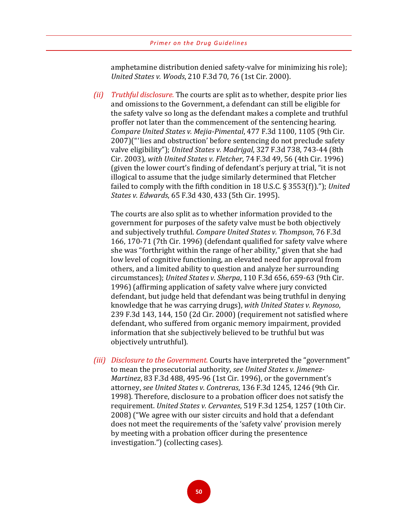amphetamine distribution denied safety-valve for minimizing his role); *United States v. Woods*, 210 F.3d 70, 76 (1st Cir. 2000).

*(ii) Truthful disclosure.* The courts are split as to whether, despite prior lies and omissions to the Government, a defendant can still be eligible for the safety valve so long as the defendant makes a complete and truthful proffer not later than the commencement of the sentencing hearing. *Compare United States v. Mejia-Pimental*, 477 F.3d 1100, 1105 (9th Cir. 2007)("'lies and obstruction' before sentencing do not preclude safety valve eligibility"); *United States v. Madrigal*, 327 F.3d 738, 743-44 (8th Cir. 2003), *with United States v. Fletcher*, 74 F.3d 49, 56 (4th Cir. 1996) (given the lower court's finding of defendant's perjury at trial, "it is not illogical to assume that the judge similarly determined that Fletcher failed to comply with the fifth condition in 18 U.S.C. § 3553(f))."); *United States v. Edwards*, 65 F.3d 430, 433 (5th Cir. 1995).

The courts are also split as to whether information provided to the government for purposes of the safety valve must be both objectively and subjectively truthful. *Compare United States v. Thompson*, 76 F.3d 166, 170-71 (7th Cir. 1996) (defendant qualified for safety valve where she was "forthright within the range of her ability," given that she had low level of cognitive functioning, an elevated need for approval from others, and a limited ability to question and analyze her surrounding circumstances); *United States v. Sherpa*, 110 F.3d 656, 659-63 (9th Cir. 1996) (affirming application of safety valve where jury convicted defendant, but judge held that defendant was being truthful in denying knowledge that he was carrying drugs), *with United States v. Reynoso*, 239 F.3d 143, 144, 150 (2d Cir. 2000) (requirement not satisfied where defendant, who suffered from organic memory impairment, provided information that she subjectively believed to be truthful but was objectively untruthful).

*(iii) Disclosure to the Government.* Courts have interpreted the "government" to mean the prosecutorial authority, *see United States v. Jimenez-Martinez*, 83 F.3d 488, 495-96 (1st Cir. 1996), or the government's attorney, *see United States v. Contreras*, 136 F.3d 1245, 1246 (9th Cir. 1998). Therefore, disclosure to a probation officer does not satisfy the requirement. *United States v. Cervantes*, 519 F.3d 1254, 1257 (10th Cir. 2008) ("We agree with our sister circuits and hold that a defendant does not meet the requirements of the 'safety valve' provision merely by meeting with a probation officer during the presentence investigation.") (collecting cases).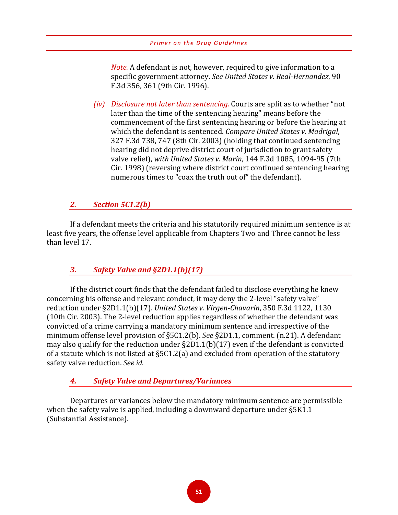*Note.* A defendant is not, however, required to give information to a specific government attorney. *See United States v. Real-Hernandez*, 90 F.3d 356, 361 (9th Cir. 1996).

*(iv) Disclosure not later than sentencing.* Courts are split as to whether "not later than the time of the sentencing hearing" means before the commencement of the first sentencing hearing or before the hearing at which the defendant is sentenced. *Compare United States v. Madrigal*, 327 F.3d 738, 747 (8th Cir. 2003) (holding that continued sentencing hearing did not deprive district court of jurisdiction to grant safety valve relief), *with United States v. Marin*, 144 F.3d 1085, 1094-95 (7th Cir. 1998) (reversing where district court continued sentencing hearing numerous times to "coax the truth out of" the defendant).

# *2. Section 5C1.2(b)*

If a defendant meets the criteria and his statutorily required minimum sentence is at least five years, the offense level applicable from Chapters Two and Three cannot be less than level 17.

# *3. Safety Valve and §2D1.1(b)(17)*

If the district court finds that the defendant failed to disclose everything he knew concerning his offense and relevant conduct, it may deny the 2-level "safety valve" reduction under §2D1.1(b)(17). *United States v. Virgen-Chavarin*, 350 F.3d 1122, 1130 (10th Cir. 2003). The 2-level reduction applies regardless of whether the defendant was convicted of a crime carrying a mandatory minimum sentence and irrespective of the minimum offense level provision of §5C1.2(b). *See* §2D1.1, comment. (n.21). A defendant may also qualify for the reduction under §2D1.1(b)(17) even if the defendant is convicted of a statute which is not listed at §5C1.2(a) and excluded from operation of the statutory safety valve reduction. *See id.*

# *4. Safety Valve and Departures/Variances*

Departures or variances below the mandatory minimum sentence are permissible when the safety valve is applied, including a downward departure under §5K1.1 (Substantial Assistance).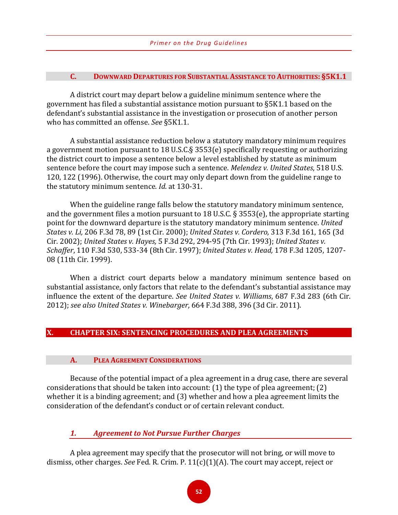#### **C. DOWNWARD DEPARTURES FOR SUBSTANTIAL ASSISTANCE TO AUTHORITIES: §5K1.1**

A district court may depart below a guideline minimum sentence where the government has filed a substantial assistance motion pursuant to §5K1.1 based on the defendant's substantial assistance in the investigation or prosecution of another person who has committed an offense. *See* §5K1.1.

A substantial assistance reduction below a statutory mandatory minimum requires a government motion pursuant to 18 U.S.C.§ 3553(e) specifically requesting or authorizing the district court to impose a sentence below a level established by statute as minimum sentence before the court may impose such a sentence. *Melendez v. United States*, 518 U.S. 120, 122 (1996). Otherwise, the court may only depart down from the guideline range to the statutory minimum sentence. *Id*. at 130-31.

When the guideline range falls below the statutory mandatory minimum sentence, and the government files a motion pursuant to 18 U.S.C. § 3553(e), the appropriate starting point for the downward departure is the statutory mandatory minimum sentence. *United States v. Li,* 206 F.3d 78, 89 (1st Cir. 2000); *United States v. Cordero,* 313 F.3d 161, 165 (3d Cir. 2002); *United States v. Hayes,* 5 F.3d 292, 294-95 (7th Cir. 1993); *United States v. Schaffer*, 110 F.3d 530, 533-34 (8th Cir. 1997); *United States v. Head,* 178 F.3d 1205, 1207- 08 (11th Cir. 1999).

When a district court departs below a mandatory minimum sentence based on substantial assistance, only factors that relate to the defendant's substantial assistance may influence the extent of the departure. *See United States v. Williams*, 687 F.3d 283 (6th Cir. 2012); *see also United States v. Winebarger*, 664 F.3d 388, 396 (3d Cir. 2011).

#### **X. CHAPTER SIX: SENTENCING PROCEDURES AND PLEA AGREEMENTS**

#### **A. PLEA AGREEMENT CONSIDERATIONS**

Because of the potential impact of a plea agreement in a drug case, there are several considerations that should be taken into account: (1) the type of plea agreement; (2) whether it is a binding agreement; and (3) whether and how a plea agreement limits the consideration of the defendant's conduct or of certain relevant conduct.

*1. Agreement to Not Pursue Further Charges*

A plea agreement may specify that the prosecutor will not bring, or will move to dismiss, other charges. *See* Fed. R. Crim. P. 11(c)(1)(A). The court may accept, reject or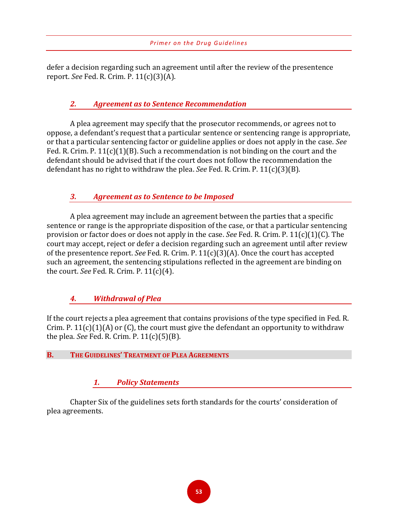defer a decision regarding such an agreement until after the review of the presentence report. *See* Fed. R. Crim. P. 11(c)(3)(A).

# *2. Agreement as to Sentence Recommendation*

A plea agreement may specify that the prosecutor recommends, or agrees not to oppose, a defendant's request that a particular sentence or sentencing range is appropriate, or that a particular sentencing factor or guideline applies or does not apply in the case. *See* Fed. R. Crim. P. 11(c)(1)(B). Such a recommendation is not binding on the court and the defendant should be advised that if the court does not follow the recommendation the defendant has no right to withdraw the plea. *See* Fed. R. Crim. P. 11(c)(3)(B).

# *3. Agreement as to Sentence to be Imposed*

A plea agreement may include an agreement between the parties that a specific sentence or range is the appropriate disposition of the case, or that a particular sentencing provision or factor does or does not apply in the case. *See* Fed. R. Crim. P. 11(c)(1)(C). The court may accept, reject or defer a decision regarding such an agreement until after review of the presentence report. *See* Fed. R. Crim. P. 11(c)(3)(A). Once the court has accepted such an agreement, the sentencing stipulations reflected in the agreement are binding on the court. *See* Fed. R. Crim. P. 11(c)(4).

# *4. Withdrawal of Plea*

If the court rejects a plea agreement that contains provisions of the type specified in Fed. R. Crim. P.  $11(c)(1)(A)$  or  $(C)$ , the court must give the defendant an opportunity to withdraw the plea. *See* Fed. R. Crim. P. 11(c)(5)(B).

#### **B. THE GUIDELINES' TREATMENT OF PLEA AGREEMENTS**

#### *1. Policy Statements*

Chapter Six of the guidelines sets forth standards for the courts' consideration of plea agreements.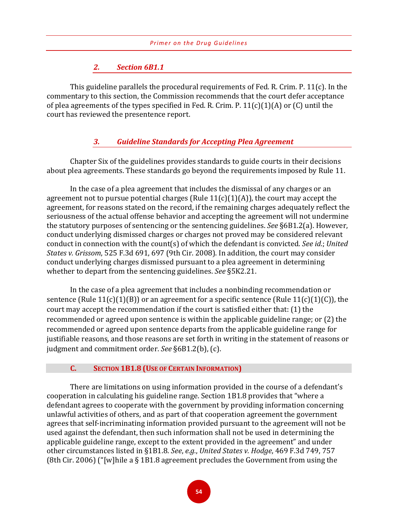#### *2. Section 6B1.1*

This guideline parallels the procedural requirements of Fed. R. Crim. P. 11(c). In the commentary to this section, the Commission recommends that the court defer acceptance of plea agreements of the types specified in Fed. R. Crim. P.  $11(c)(1)(A)$  or (C) until the court has reviewed the presentence report.

### *3. Guideline Standards for Accepting Plea Agreement*

Chapter Six of the guidelines provides standards to guide courts in their decisions about plea agreements. These standards go beyond the requirements imposed by Rule 11.

In the case of a plea agreement that includes the dismissal of any charges or an agreement not to pursue potential charges (Rule  $11(c)(1)(A)$ ), the court may accept the agreement, for reasons stated on the record, if the remaining charges adequately reflect the seriousness of the actual offense behavior and accepting the agreement will not undermine the statutory purposes of sentencing or the sentencing guidelines. *See* §6B1.2(a). However, conduct underlying dismissed charges or charges not proved may be considered relevant conduct in connection with the count(s) of which the defendant is convicted. *See id*.; *United States v. Grissom*, 525 F.3d 691, 697 (9th Cir. 2008). In addition, the court may consider conduct underlying charges dismissed pursuant to a plea agreement in determining whether to depart from the sentencing guidelines. *See* §5K2.21.

In the case of a plea agreement that includes a nonbinding recommendation or sentence (Rule  $11(c)(1)(B)$ ) or an agreement for a specific sentence (Rule  $11(c)(1)(C)$ ), the court may accept the recommendation if the court is satisfied either that: (1) the recommended or agreed upon sentence is within the applicable guideline range; or (2) the recommended or agreed upon sentence departs from the applicable guideline range for justifiable reasons, and those reasons are set forth in writing in the statement of reasons or judgment and commitment order. *See* §6B1.2(b), (c).

#### **C. SECTION 1B1.8 (USE OF CERTAIN INFORMATION)**

There are limitations on using information provided in the course of a defendant's cooperation in calculating his guideline range. Section 1B1.8 provides that "where a defendant agrees to cooperate with the government by providing information concerning unlawful activities of others, and as part of that cooperation agreement the government agrees that self-incriminating information provided pursuant to the agreement will not be used against the defendant, then such information shall not be used in determining the applicable guideline range, except to the extent provided in the agreement" and under other circumstances listed in §1B1.8. *See*, *e.g.*, *United States v. Hodge*, 469 F.3d 749, 757 (8th Cir. 2006) ("[w]hile a § 1B1.8 agreement precludes the Government from using the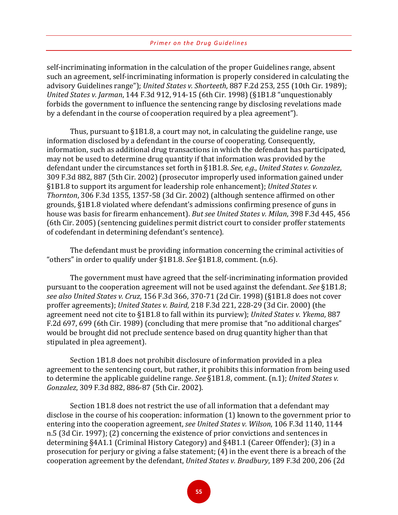self-incriminating information in the calculation of the proper Guidelines range, absent such an agreement, self-incriminating information is properly considered in calculating the advisory Guidelines range"); *United States v. Shorteeth*, 887 F.2d 253, 255 (10th Cir. 1989); *United States v. Jarman*, 144 F.3d 912, 914-15 (6th Cir. 1998) (§1B1.8 "unquestionably forbids the government to influence the sentencing range by disclosing revelations made by a defendant in the course of cooperation required by a plea agreement").

Thus, pursuant to §1B1.8, a court may not, in calculating the guideline range, use information disclosed by a defendant in the course of cooperating. Consequently, information, such as additional drug transactions in which the defendant has participated, may not be used to determine drug quantity if that information was provided by the defendant under the circumstances set forth in §1B1.8. *See, e.g.*, *United States v. Gonzalez*, 309 F.3d 882, 887 (5th Cir. 2002) (prosecutor improperly used information gained under §1B1.8 to support its argument for leadership role enhancement); *United States v. Thornton*, 306 F.3d 1355, 1357-58 (3d Cir. 2002) (although sentence affirmed on other grounds, §1B1.8 violated where defendant's admissions confirming presence of guns in house was basis for firearm enhancement). *But see United States v. Milan*, 398 F.3d 445, 456 (6th Cir. 2005) (sentencing guidelines permit district court to consider proffer statements of codefendant in determining defendant's sentence).

The defendant must be providing information concerning the criminal activities of "others" in order to qualify under §1B1.8. *See* §1B1.8, comment. (n.6).

The government must have agreed that the self-incriminating information provided pursuant to the cooperation agreement will not be used against the defendant. *See* §1B1.8; *see also United States v. Cruz*, 156 F.3d 366, 370-71 (2d Cir. 1998) (§1B1.8 does not cover proffer agreements); *United States v. Baird*, 218 F.3d 221, 228-29 (3d Cir. 2000) (the agreement need not cite to §1B1.8 to fall within its purview); *United States v. Ykema*, 887 F.2d 697, 699 (6th Cir. 1989) (concluding that mere promise that "no additional charges" would be brought did not preclude sentence based on drug quantity higher than that stipulated in plea agreement).

Section 1B1.8 does not prohibit disclosure of information provided in a plea agreement to the sentencing court, but rather, it prohibits this information from being used to determine the applicable guideline range. *See* §1B1.8, comment. (n.1); *United States v. Gonzalez*, 309 F.3d 882, 886-87 (5th Cir. 2002).

Section 1B1.8 does not restrict the use of all information that a defendant may disclose in the course of his cooperation: information (1) known to the government prior to entering into the cooperation agreement, *see United States v. Wilson*, 106 F.3d 1140, 1144 n.5 (3d Cir. 1997); (2) concerning the existence of prior convictions and sentences in determining §4A1.1 (Criminal History Category) and §4B1.1 (Career Offender); (3) in a prosecution for perjury or giving a false statement; (4) in the event there is a breach of the cooperation agreement by the defendant, *United States v. Bradbury*, 189 F.3d 200, 206 (2d